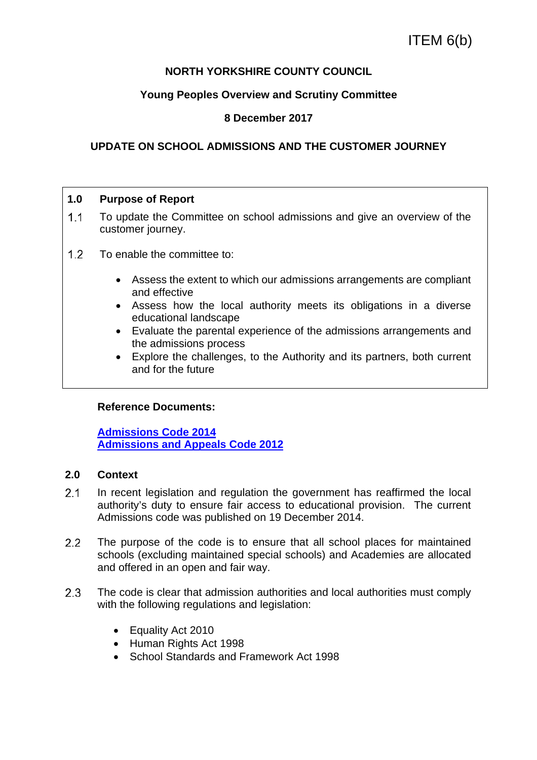# **NORTH YORKSHIRE COUNTY COUNCIL**

# **Young Peoples Overview and Scrutiny Committee**

# **8 December 2017**

# **UPDATE ON SCHOOL ADMISSIONS AND THE CUSTOMER JOURNEY**

### **1.0 Purpose of Report**

- 1.1 To update the Committee on school admissions and give an overview of the customer journey.
- 1.2 To enable the committee to:
	- Assess the extent to which our admissions arrangements are compliant and effective
	- Assess how the local authority meets its obligations in a diverse educational landscape
	- Evaluate the parental experience of the admissions arrangements and the admissions process
	- Explore the challenges, to the Authority and its partners, both current and for the future

### **Reference Documents:**

**Admissions Code 2014 Admissions and Appeals Code 2012**

### **2.0 Context**

- 2.1 In recent legislation and regulation the government has reaffirmed the local authority's duty to ensure fair access to educational provision. The current Admissions code was published on 19 December 2014.
- 2.2 The purpose of the code is to ensure that all school places for maintained schools (excluding maintained special schools) and Academies are allocated and offered in an open and fair way.
- 2.3 The code is clear that admission authorities and local authorities must comply with the following regulations and legislation:
	- Equality Act 2010
	- Human Rights Act 1998
	- School Standards and Framework Act 1998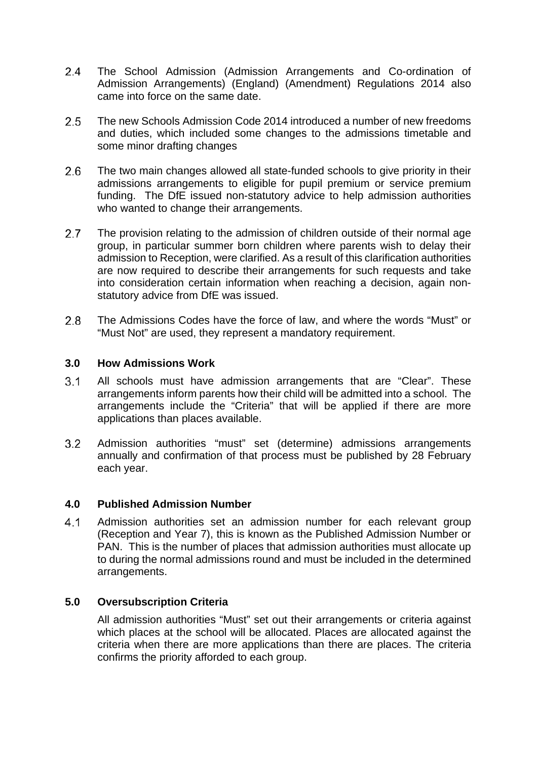- The School Admission (Admission Arrangements and Co-ordination of Admission Arrangements) (England) (Amendment) Regulations 2014 also came into force on the same date.
- The new Schools Admission Code 2014 introduced a number of new freedoms and duties, which included some changes to the admissions timetable and some minor drafting changes
- The two main changes allowed all state-funded schools to give priority in their admissions arrangements to eligible for pupil premium or service premium funding. The DfE issued non-statutory advice to help admission authorities who wanted to change their arrangements.
- 2.7 The provision relating to the admission of children outside of their normal age group, in particular summer born children where parents wish to delay their admission to Reception, were clarified. As a result of this clarification authorities are now required to describe their arrangements for such requests and take into consideration certain information when reaching a decision, again nonstatutory advice from DfE was issued.
- The Admissions Codes have the force of law, and where the words "Must" or "Must Not" are used, they represent a mandatory requirement.

# **3.0 How Admissions Work**

- All schools must have admission arrangements that are "Clear". These arrangements inform parents how their child will be admitted into a school. The arrangements include the "Criteria" that will be applied if there are more applications than places available.
- Admission authorities "must" set (determine) admissions arrangements annually and confirmation of that process must be published by 28 February each year.

# **4.0 Published Admission Number**

 Admission authorities set an admission number for each relevant group (Reception and Year 7), this is known as the Published Admission Number or PAN. This is the number of places that admission authorities must allocate up to during the normal admissions round and must be included in the determined arrangements.

# **5.0 Oversubscription Criteria**

All admission authorities "Must" set out their arrangements or criteria against which places at the school will be allocated. Places are allocated against the criteria when there are more applications than there are places. The criteria confirms the priority afforded to each group.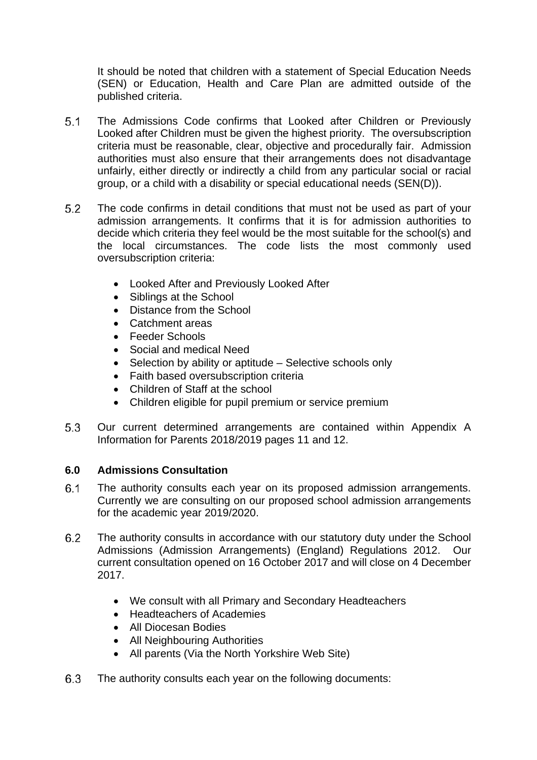It should be noted that children with a statement of Special Education Needs (SEN) or Education, Health and Care Plan are admitted outside of the published criteria.

- The Admissions Code confirms that Looked after Children or Previously Looked after Children must be given the highest priority. The oversubscription criteria must be reasonable, clear, objective and procedurally fair. Admission authorities must also ensure that their arrangements does not disadvantage unfairly, either directly or indirectly a child from any particular social or racial group, or a child with a disability or special educational needs (SEN(D)).
- The code confirms in detail conditions that must not be used as part of your admission arrangements. It confirms that it is for admission authorities to decide which criteria they feel would be the most suitable for the school(s) and the local circumstances. The code lists the most commonly used oversubscription criteria:
	- Looked After and Previously Looked After
	- Siblings at the School
	- Distance from the School
	- Catchment areas
	- Feeder Schools
	- Social and medical Need
	- Selection by ability or aptitude Selective schools only
	- Faith based oversubscription criteria
	- Children of Staff at the school
	- Children eligible for pupil premium or service premium
- Our current determined arrangements are contained within Appendix A Information for Parents 2018/2019 pages 11 and 12.

# **6.0 Admissions Consultation**

- The authority consults each year on its proposed admission arrangements. Currently we are consulting on our proposed school admission arrangements for the academic year 2019/2020.
- The authority consults in accordance with our statutory duty under the School Admissions (Admission Arrangements) (England) Regulations 2012. Our current consultation opened on 16 October 2017 and will close on 4 December 2017.
	- We consult with all Primary and Secondary Headteachers
	- Headteachers of Academies
	- All Diocesan Bodies
	- All Neighbouring Authorities
	- All parents (Via the North Yorkshire Web Site)
- The authority consults each year on the following documents: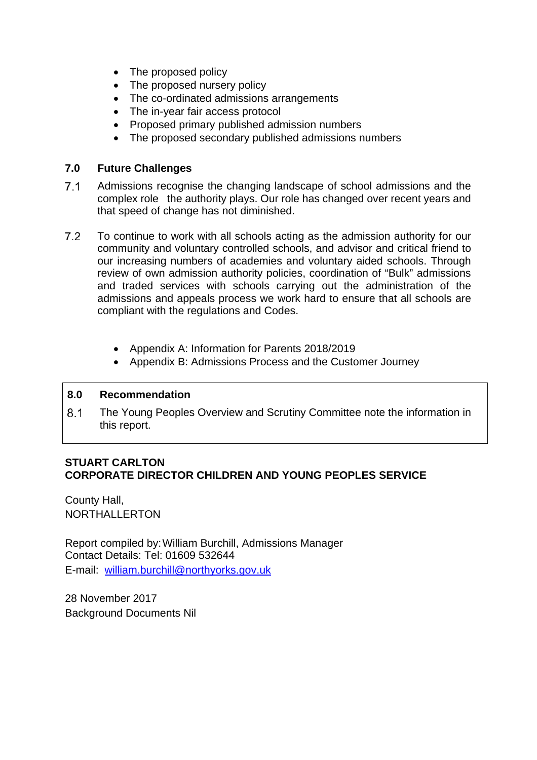- The proposed policy
- The proposed nursery policy
- The co-ordinated admissions arrangements
- The in-year fair access protocol
- Proposed primary published admission numbers
- The proposed secondary published admissions numbers

# **7.0 Future Challenges**

- Admissions recognise the changing landscape of school admissions and the complex role the authority plays. Our role has changed over recent years and that speed of change has not diminished.
- To continue to work with all schools acting as the admission authority for our community and voluntary controlled schools, and advisor and critical friend to our increasing numbers of academies and voluntary aided schools. Through review of own admission authority policies, coordination of "Bulk" admissions and traded services with schools carrying out the administration of the admissions and appeals process we work hard to ensure that all schools are compliant with the regulations and Codes.
	- Appendix A: Information for Parents 2018/2019
	- Appendix B: Admissions Process and the Customer Journey

# **8.0 Recommendation**

 The Young Peoples Overview and Scrutiny Committee note the information in this report.

# **STUART CARLTON CORPORATE DIRECTOR CHILDREN AND YOUNG PEOPLES SERVICE**

County Hall, NORTHALLERTON

Report compiled by: William Burchill, Admissions Manager Contact Details: Tel: 01609 532644 E-mail: william.burchill@northyorks.gov.uk

28 November 2017 Background Documents Nil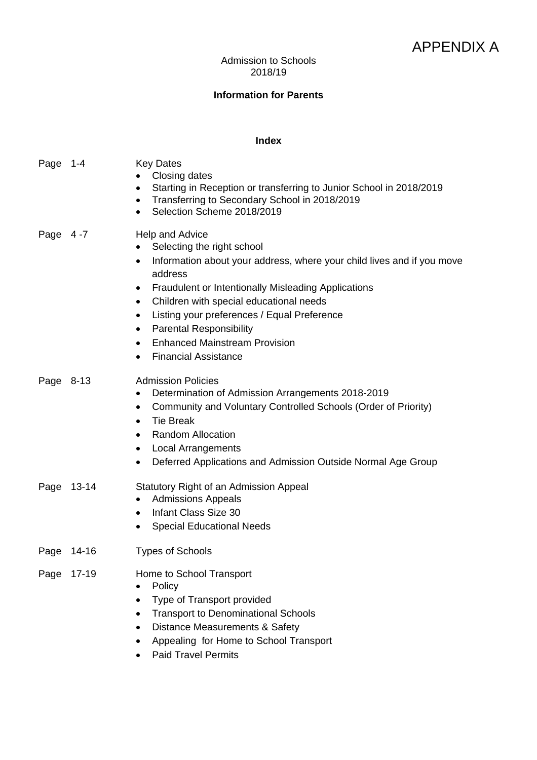# Admission to Schools 2018/19

# **Information for Parents**

### **Index**

| Page      | $1 - 4$   | <b>Key Dates</b><br>Closing dates<br>Starting in Reception or transferring to Junior School in 2018/2019<br>Transferring to Secondary School in 2018/2019<br>Selection Scheme 2018/2019<br>٠                                                                                                                                                                                                                                                           |
|-----------|-----------|--------------------------------------------------------------------------------------------------------------------------------------------------------------------------------------------------------------------------------------------------------------------------------------------------------------------------------------------------------------------------------------------------------------------------------------------------------|
| Page      | 4 -7      | Help and Advice<br>Selecting the right school<br>Information about your address, where your child lives and if you move<br>٠<br>address<br><b>Fraudulent or Intentionally Misleading Applications</b><br>٠<br>Children with special educational needs<br>٠<br>Listing your preferences / Equal Preference<br>٠<br><b>Parental Responsibility</b><br>٠<br><b>Enhanced Mainstream Provision</b><br>$\bullet$<br><b>Financial Assistance</b><br>$\bullet$ |
| Page 8-13 |           | <b>Admission Policies</b><br>Determination of Admission Arrangements 2018-2019<br>Community and Voluntary Controlled Schools (Order of Priority)<br>٠<br><b>Tie Break</b><br>$\bullet$<br><b>Random Allocation</b><br>$\bullet$<br><b>Local Arrangements</b><br>٠<br>Deferred Applications and Admission Outside Normal Age Group<br>٠                                                                                                                 |
| Page      | $13 - 14$ | Statutory Right of an Admission Appeal<br><b>Admissions Appeals</b><br>Infant Class Size 30<br>٠<br><b>Special Educational Needs</b>                                                                                                                                                                                                                                                                                                                   |
| Page      | 14-16     | <b>Types of Schools</b>                                                                                                                                                                                                                                                                                                                                                                                                                                |
| Page      | $17 - 19$ | Home to School Transport<br>Policy<br>Type of Transport provided<br><b>Transport to Denominational Schools</b><br>Distance Measurements & Safety<br>Appealing for Home to School Transport<br><b>Paid Travel Permits</b>                                                                                                                                                                                                                               |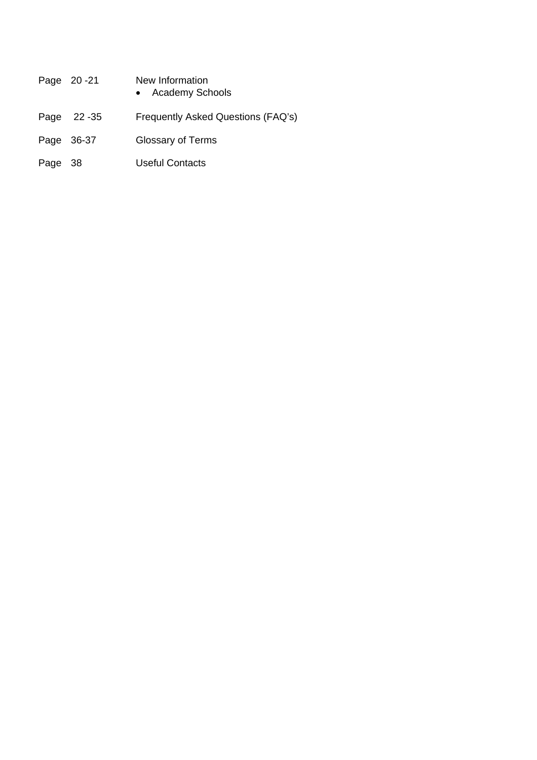|            | Page 20-21 | New Information<br>• Academy Schools |
|------------|------------|--------------------------------------|
|            | Page 22-35 | Frequently Asked Questions (FAQ's)   |
| Page 36-37 |            | Glossary of Terms                    |
| Page       | - 38       | Useful Contacts                      |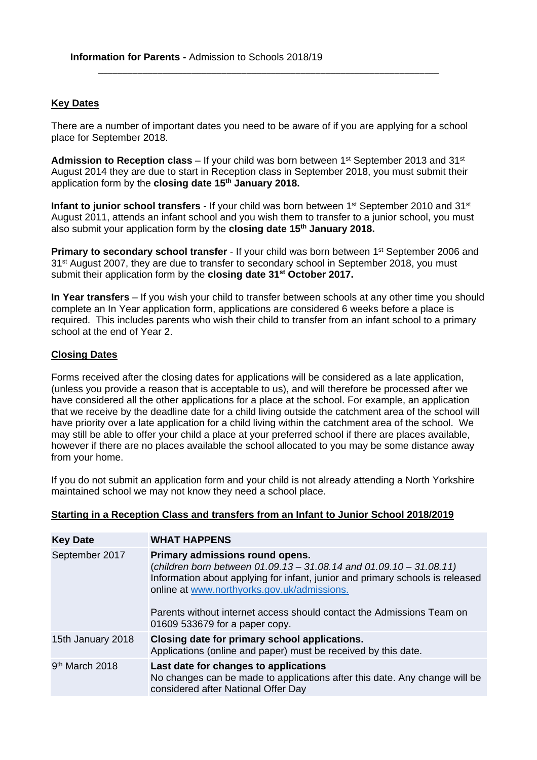### **Key Dates**

There are a number of important dates you need to be aware of if you are applying for a school place for September 2018.

\_\_\_\_\_\_\_\_\_\_\_\_\_\_\_\_\_\_\_\_\_\_\_\_\_\_\_\_\_\_\_\_\_\_\_\_\_\_\_\_\_\_\_\_\_\_\_\_\_\_\_\_\_\_\_\_\_\_\_\_\_\_\_\_\_\_\_\_\_

Admission to Reception class – If your child was born between 1<sup>st</sup> September 2013 and 31<sup>st</sup> August 2014 they are due to start in Reception class in September 2018, you must submit their application form by the **closing date 15th January 2018.**

**Infant to junior school transfers** - If your child was born between 1<sup>st</sup> September 2010 and 31<sup>st</sup> August 2011, attends an infant school and you wish them to transfer to a junior school, you must also submit your application form by the **closing date 15th January 2018.** 

**Primary to secondary school transfer** - If your child was born between 1<sup>st</sup> September 2006 and 31st August 2007, they are due to transfer to secondary school in September 2018, you must submit their application form by the **closing date 31st October 2017.**

**In Year transfers** – If you wish your child to transfer between schools at any other time you should complete an In Year application form, applications are considered 6 weeks before a place is required. This includes parents who wish their child to transfer from an infant school to a primary school at the end of Year 2.

### **Closing Dates**

Forms received after the closing dates for applications will be considered as a late application, (unless you provide a reason that is acceptable to us), and will therefore be processed after we have considered all the other applications for a place at the school. For example, an application that we receive by the deadline date for a child living outside the catchment area of the school will have priority over a late application for a child living within the catchment area of the school. We may still be able to offer your child a place at your preferred school if there are places available, however if there are no places available the school allocated to you may be some distance away from your home.

If you do not submit an application form and your child is not already attending a North Yorkshire maintained school we may not know they need a school place.

| <b>Key Date</b>            | <b>WHAT HAPPENS</b>                                                                                                                                                                                                                                                                                                                                    |
|----------------------------|--------------------------------------------------------------------------------------------------------------------------------------------------------------------------------------------------------------------------------------------------------------------------------------------------------------------------------------------------------|
| September 2017             | Primary admissions round opens.<br>(children born between $01.09.13 - 31.08.14$ and $01.09.10 - 31.08.11$ )<br>Information about applying for infant, junior and primary schools is released<br>online at www.northyorks.gov.uk/admissions.<br>Parents without internet access should contact the Admissions Team on<br>01609 533679 for a paper copy. |
| 15th January 2018          | Closing date for primary school applications.<br>Applications (online and paper) must be received by this date.                                                                                                                                                                                                                                        |
| 9 <sup>th</sup> March 2018 | Last date for changes to applications<br>No changes can be made to applications after this date. Any change will be<br>considered after National Offer Day                                                                                                                                                                                             |

#### **Starting in a Reception Class and transfers from an Infant to Junior School 2018/2019**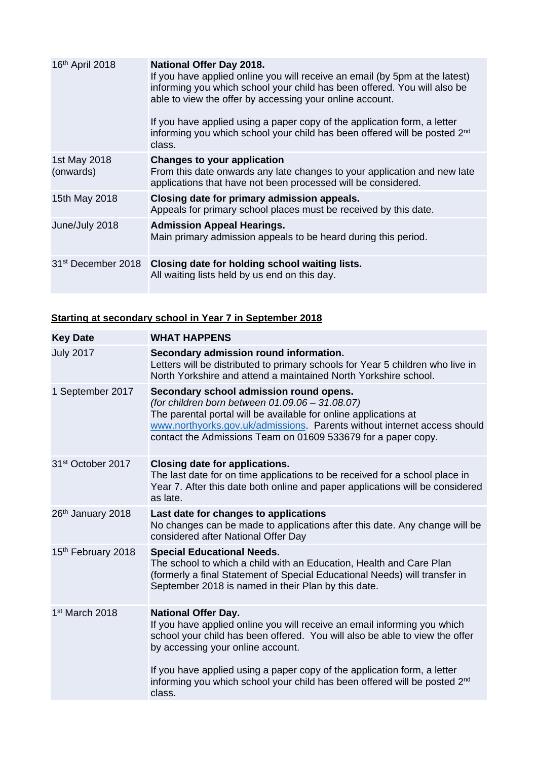| 16th April 2018           | <b>National Offer Day 2018.</b><br>If you have applied online you will receive an email (by 5pm at the latest)<br>informing you which school your child has been offered. You will also be<br>able to view the offer by accessing your online account.<br>If you have applied using a paper copy of the application form, a letter<br>informing you which school your child has been offered will be posted 2 <sup>nd</sup><br>class. |
|---------------------------|---------------------------------------------------------------------------------------------------------------------------------------------------------------------------------------------------------------------------------------------------------------------------------------------------------------------------------------------------------------------------------------------------------------------------------------|
| 1st May 2018<br>(onwards) | Changes to your application<br>From this date onwards any late changes to your application and new late<br>applications that have not been processed will be considered.                                                                                                                                                                                                                                                              |
| 15th May 2018             | Closing date for primary admission appeals.<br>Appeals for primary school places must be received by this date.                                                                                                                                                                                                                                                                                                                       |
| June/July 2018            | <b>Admission Appeal Hearings.</b><br>Main primary admission appeals to be heard during this period.                                                                                                                                                                                                                                                                                                                                   |
|                           | 31 <sup>st</sup> December 2018 Closing date for holding school waiting lists.<br>All waiting lists held by us end on this day.                                                                                                                                                                                                                                                                                                        |

# **Starting at secondary school in Year 7 in September 2018**

| <b>Key Date</b>               | <b>WHAT HAPPENS</b>                                                                                                                                                                                                                                                                                         |
|-------------------------------|-------------------------------------------------------------------------------------------------------------------------------------------------------------------------------------------------------------------------------------------------------------------------------------------------------------|
| <b>July 2017</b>              | Secondary admission round information.<br>Letters will be distributed to primary schools for Year 5 children who live in<br>North Yorkshire and attend a maintained North Yorkshire school.                                                                                                                 |
| 1 September 2017              | Secondary school admission round opens.<br>(for children born between 01.09.06 - 31.08.07)<br>The parental portal will be available for online applications at<br>www.northyorks.gov.uk/admissions. Parents without internet access should<br>contact the Admissions Team on 01609 533679 for a paper copy. |
| 31 <sup>st</sup> October 2017 | <b>Closing date for applications.</b><br>The last date for on time applications to be received for a school place in<br>Year 7. After this date both online and paper applications will be considered<br>as late.                                                                                           |
| 26th January 2018             | Last date for changes to applications<br>No changes can be made to applications after this date. Any change will be<br>considered after National Offer Day                                                                                                                                                  |
| 15th February 2018            | <b>Special Educational Needs.</b><br>The school to which a child with an Education, Health and Care Plan<br>(formerly a final Statement of Special Educational Needs) will transfer in<br>September 2018 is named in their Plan by this date.                                                               |
| 1 <sup>st</sup> March 2018    | <b>National Offer Day.</b><br>If you have applied online you will receive an email informing you which<br>school your child has been offered. You will also be able to view the offer<br>by accessing your online account.                                                                                  |
|                               | If you have applied using a paper copy of the application form, a letter<br>informing you which school your child has been offered will be posted 2nd<br>class.                                                                                                                                             |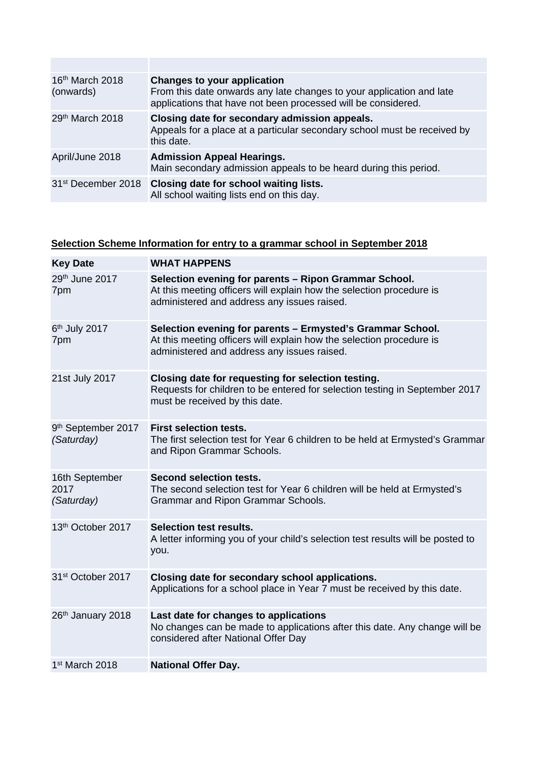| 16 <sup>th</sup> March 2018<br>(onwards) | Changes to your application<br>From this date onwards any late changes to your application and late<br>applications that have not been processed will be considered. |
|------------------------------------------|----------------------------------------------------------------------------------------------------------------------------------------------------------------------|
| 29th March 2018                          | Closing date for secondary admission appeals.<br>Appeals for a place at a particular secondary school must be received by<br>this date.                              |
| April/June 2018                          | <b>Admission Appeal Hearings.</b><br>Main secondary admission appeals to be heard during this period.                                                                |
| 31 <sup>st</sup> December 2018           | Closing date for school waiting lists.<br>All school waiting lists end on this day.                                                                                  |

# **Selection Scheme Information for entry to a grammar school in September 2018**

| <b>Key Date</b>                      | <b>WHAT HAPPENS</b>                                                                                                                                                               |
|--------------------------------------|-----------------------------------------------------------------------------------------------------------------------------------------------------------------------------------|
| 29th June 2017<br>7pm                | Selection evening for parents - Ripon Grammar School.<br>At this meeting officers will explain how the selection procedure is<br>administered and address any issues raised.      |
| 6th July 2017<br>7pm                 | Selection evening for parents - Ermysted's Grammar School.<br>At this meeting officers will explain how the selection procedure is<br>administered and address any issues raised. |
| 21st July 2017                       | Closing date for requesting for selection testing.<br>Requests for children to be entered for selection testing in September 2017<br>must be received by this date.               |
| 9th September 2017<br>(Saturday)     | <b>First selection tests.</b><br>The first selection test for Year 6 children to be held at Ermysted's Grammar<br>and Ripon Grammar Schools.                                      |
| 16th September<br>2017<br>(Saturday) | Second selection tests.<br>The second selection test for Year 6 children will be held at Ermysted's<br>Grammar and Ripon Grammar Schools.                                         |
| 13th October 2017                    | <b>Selection test results.</b><br>A letter informing you of your child's selection test results will be posted to<br>you.                                                         |
| 31 <sup>st</sup> October 2017        | Closing date for secondary school applications.<br>Applications for a school place in Year 7 must be received by this date.                                                       |
| 26th January 2018                    | Last date for changes to applications<br>No changes can be made to applications after this date. Any change will be<br>considered after National Offer Day                        |
| 1 <sup>st</sup> March 2018           | <b>National Offer Day.</b>                                                                                                                                                        |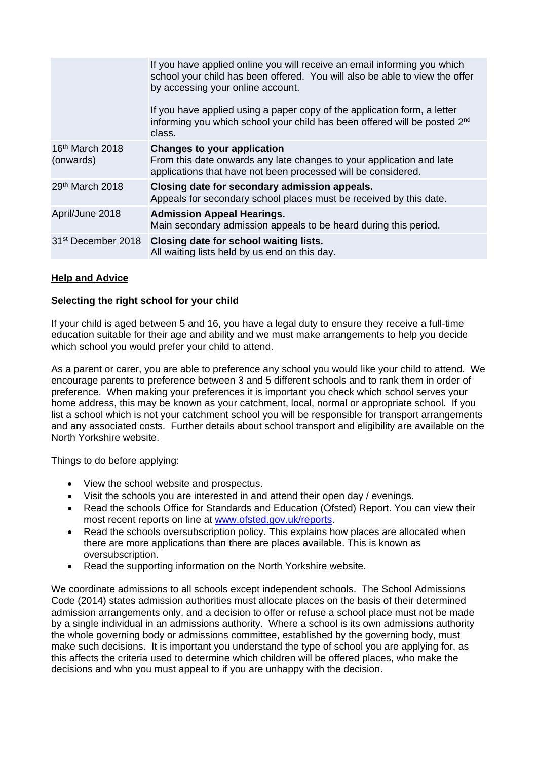|                                          | If you have applied online you will receive an email informing you which<br>school your child has been offered. You will also be able to view the offer<br>by accessing your online account.<br>If you have applied using a paper copy of the application form, a letter<br>informing you which school your child has been offered will be posted 2nd<br>class. |
|------------------------------------------|-----------------------------------------------------------------------------------------------------------------------------------------------------------------------------------------------------------------------------------------------------------------------------------------------------------------------------------------------------------------|
|                                          |                                                                                                                                                                                                                                                                                                                                                                 |
| 16 <sup>th</sup> March 2018<br>(onwards) | <b>Changes to your application</b><br>From this date onwards any late changes to your application and late<br>applications that have not been processed will be considered.                                                                                                                                                                                     |
| 29 <sup>th</sup> March 2018              | Closing date for secondary admission appeals.<br>Appeals for secondary school places must be received by this date.                                                                                                                                                                                                                                             |
| April/June 2018                          | <b>Admission Appeal Hearings.</b><br>Main secondary admission appeals to be heard during this period.                                                                                                                                                                                                                                                           |
| 31 <sup>st</sup> December 2018           | Closing date for school waiting lists.<br>All waiting lists held by us end on this day.                                                                                                                                                                                                                                                                         |

### **Help and Advice**

### **Selecting the right school for your child**

If your child is aged between 5 and 16, you have a legal duty to ensure they receive a full-time education suitable for their age and ability and we must make arrangements to help you decide which school you would prefer your child to attend.

As a parent or carer, you are able to preference any school you would like your child to attend. We encourage parents to preference between 3 and 5 different schools and to rank them in order of preference. When making your preferences it is important you check which school serves your home address, this may be known as your catchment, local, normal or appropriate school. If you list a school which is not your catchment school you will be responsible for transport arrangements and any associated costs. Further details about school transport and eligibility are available on the North Yorkshire website.

Things to do before applying:

- View the school website and prospectus.
- Visit the schools you are interested in and attend their open day / evenings.
- Read the schools Office for Standards and Education (Ofsted) Report. You can view their most recent reports on line at www.ofsted.gov.uk/reports.
- Read the schools oversubscription policy. This explains how places are allocated when there are more applications than there are places available. This is known as oversubscription.
- Read the supporting information on the North Yorkshire website.

We coordinate admissions to all schools except independent schools. The School Admissions Code (2014) states admission authorities must allocate places on the basis of their determined admission arrangements only, and a decision to offer or refuse a school place must not be made by a single individual in an admissions authority. Where a school is its own admissions authority the whole governing body or admissions committee, established by the governing body, must make such decisions. It is important you understand the type of school you are applying for, as this affects the criteria used to determine which children will be offered places, who make the decisions and who you must appeal to if you are unhappy with the decision.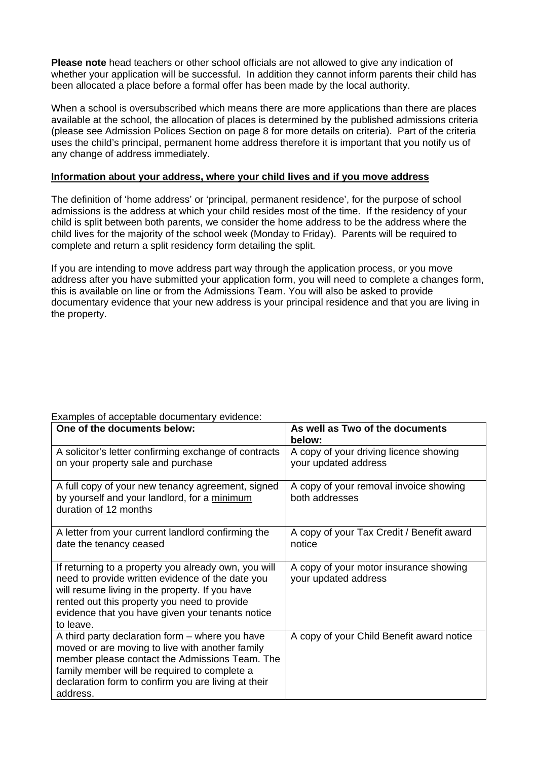**Please note** head teachers or other school officials are not allowed to give any indication of whether your application will be successful. In addition they cannot inform parents their child has been allocated a place before a formal offer has been made by the local authority.

When a school is oversubscribed which means there are more applications than there are places available at the school, the allocation of places is determined by the published admissions criteria (please see Admission Polices Section on page 8 for more details on criteria). Part of the criteria uses the child's principal, permanent home address therefore it is important that you notify us of any change of address immediately.

### **Information about your address, where your child lives and if you move address**

The definition of 'home address' or 'principal, permanent residence', for the purpose of school admissions is the address at which your child resides most of the time. If the residency of your child is split between both parents, we consider the home address to be the address where the child lives for the majority of the school week (Monday to Friday). Parents will be required to complete and return a split residency form detailing the split.

If you are intending to move address part way through the application process, or you move address after you have submitted your application form, you will need to complete a changes form, this is available on line or from the Admissions Team. You will also be asked to provide documentary evidence that your new address is your principal residence and that you are living in the property.

| One of the documents below:                                                                                                                                                                                                                                                  | As well as Two of the documents<br>below:                      |
|------------------------------------------------------------------------------------------------------------------------------------------------------------------------------------------------------------------------------------------------------------------------------|----------------------------------------------------------------|
| A solicitor's letter confirming exchange of contracts<br>on your property sale and purchase                                                                                                                                                                                  | A copy of your driving licence showing<br>your updated address |
| A full copy of your new tenancy agreement, signed<br>by yourself and your landlord, for a minimum<br>duration of 12 months                                                                                                                                                   | A copy of your removal invoice showing<br>both addresses       |
| A letter from your current landlord confirming the<br>date the tenancy ceased                                                                                                                                                                                                | A copy of your Tax Credit / Benefit award<br>notice            |
| If returning to a property you already own, you will<br>need to provide written evidence of the date you<br>will resume living in the property. If you have<br>rented out this property you need to provide<br>evidence that you have given your tenants notice<br>to leave. | A copy of your motor insurance showing<br>your updated address |
| A third party declaration form - where you have<br>moved or are moving to live with another family<br>member please contact the Admissions Team. The<br>family member will be required to complete a<br>declaration form to confirm you are living at their<br>address.      | A copy of your Child Benefit award notice                      |

### Examples of acceptable documentary evidence: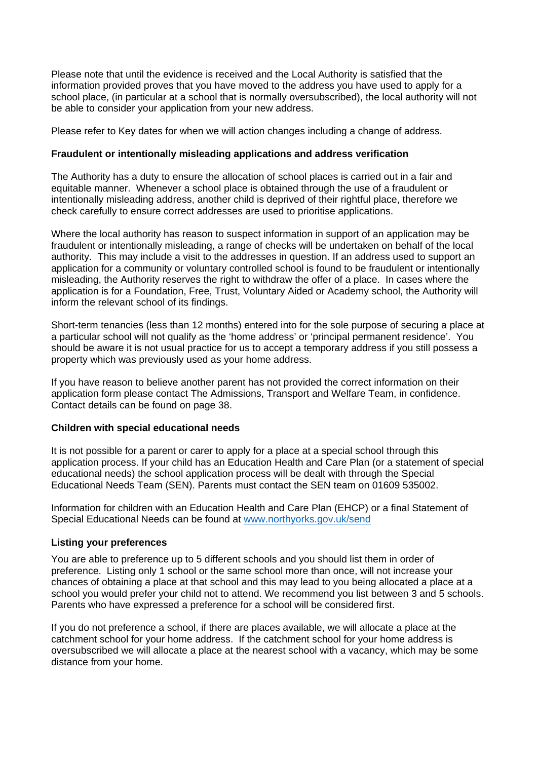Please note that until the evidence is received and the Local Authority is satisfied that the information provided proves that you have moved to the address you have used to apply for a school place, (in particular at a school that is normally oversubscribed), the local authority will not be able to consider your application from your new address.

Please refer to Key dates for when we will action changes including a change of address.

### **Fraudulent or intentionally misleading applications and address verification**

The Authority has a duty to ensure the allocation of school places is carried out in a fair and equitable manner. Whenever a school place is obtained through the use of a fraudulent or intentionally misleading address, another child is deprived of their rightful place, therefore we check carefully to ensure correct addresses are used to prioritise applications.

Where the local authority has reason to suspect information in support of an application may be fraudulent or intentionally misleading, a range of checks will be undertaken on behalf of the local authority. This may include a visit to the addresses in question. If an address used to support an application for a community or voluntary controlled school is found to be fraudulent or intentionally misleading, the Authority reserves the right to withdraw the offer of a place. In cases where the application is for a Foundation, Free, Trust, Voluntary Aided or Academy school, the Authority will inform the relevant school of its findings.

Short-term tenancies (less than 12 months) entered into for the sole purpose of securing a place at a particular school will not qualify as the 'home address' or 'principal permanent residence'. You should be aware it is not usual practice for us to accept a temporary address if you still possess a property which was previously used as your home address.

If you have reason to believe another parent has not provided the correct information on their application form please contact The Admissions, Transport and Welfare Team, in confidence. Contact details can be found on page 38.

### **Children with special educational needs**

It is not possible for a parent or carer to apply for a place at a special school through this application process. If your child has an Education Health and Care Plan (or a statement of special educational needs) the school application process will be dealt with through the Special Educational Needs Team (SEN). Parents must contact the SEN team on 01609 535002.

Information for children with an Education Health and Care Plan (EHCP) or a final Statement of Special Educational Needs can be found at www.northyorks.gov.uk/send

### **Listing your preferences**

You are able to preference up to 5 different schools and you should list them in order of preference. Listing only 1 school or the same school more than once, will not increase your chances of obtaining a place at that school and this may lead to you being allocated a place at a school you would prefer your child not to attend. We recommend you list between 3 and 5 schools. Parents who have expressed a preference for a school will be considered first.

If you do not preference a school, if there are places available, we will allocate a place at the catchment school for your home address. If the catchment school for your home address is oversubscribed we will allocate a place at the nearest school with a vacancy, which may be some distance from your home.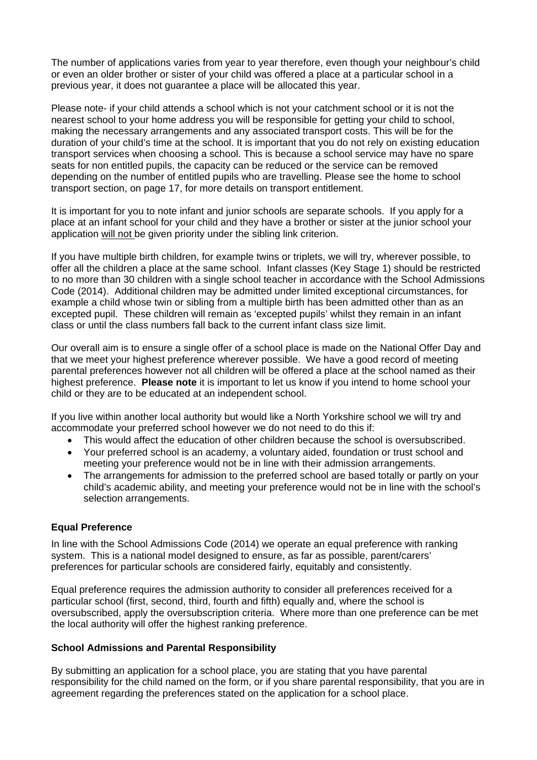The number of applications varies from year to year therefore, even though your neighbour's child or even an older brother or sister of your child was offered a place at a particular school in a previous year, it does not guarantee a place will be allocated this year.

Please note- if your child attends a school which is not your catchment school or it is not the nearest school to your home address you will be responsible for getting your child to school, making the necessary arrangements and any associated transport costs. This will be for the duration of your child's time at the school. It is important that you do not rely on existing education transport services when choosing a school. This is because a school service may have no spare seats for non entitled pupils, the capacity can be reduced or the service can be removed depending on the number of entitled pupils who are travelling. Please see the home to school transport section, on page 17, for more details on transport entitlement.

It is important for you to note infant and junior schools are separate schools. If you apply for a place at an infant school for your child and they have a brother or sister at the junior school your application will not be given priority under the sibling link criterion.

If you have multiple birth children, for example twins or triplets, we will try, wherever possible, to offer all the children a place at the same school. Infant classes (Key Stage 1) should be restricted to no more than 30 children with a single school teacher in accordance with the School Admissions Code (2014). Additional children may be admitted under limited exceptional circumstances, for example a child whose twin or sibling from a multiple birth has been admitted other than as an excepted pupil. These children will remain as 'excepted pupils' whilst they remain in an infant class or until the class numbers fall back to the current infant class size limit.

Our overall aim is to ensure a single offer of a school place is made on the National Offer Day and that we meet your highest preference wherever possible. We have a good record of meeting parental preferences however not all children will be offered a place at the school named as their highest preference. **Please note** it is important to let us know if you intend to home school your child or they are to be educated at an independent school.

If you live within another local authority but would like a North Yorkshire school we will try and accommodate your preferred school however we do not need to do this if:

- This would affect the education of other children because the school is oversubscribed.
- Your preferred school is an academy, a voluntary aided, foundation or trust school and meeting your preference would not be in line with their admission arrangements.
- The arrangements for admission to the preferred school are based totally or partly on your child's academic ability, and meeting your preference would not be in line with the school's selection arrangements.

### **Equal Preference**

In line with the School Admissions Code (2014) we operate an equal preference with ranking system. This is a national model designed to ensure, as far as possible, parent/carers' preferences for particular schools are considered fairly, equitably and consistently.

Equal preference requires the admission authority to consider all preferences received for a particular school (first, second, third, fourth and fifth) equally and, where the school is oversubscribed, apply the oversubscription criteria. Where more than one preference can be met the local authority will offer the highest ranking preference.

### **School Admissions and Parental Responsibility**

By submitting an application for a school place, you are stating that you have parental responsibility for the child named on the form, or if you share parental responsibility, that you are in agreement regarding the preferences stated on the application for a school place.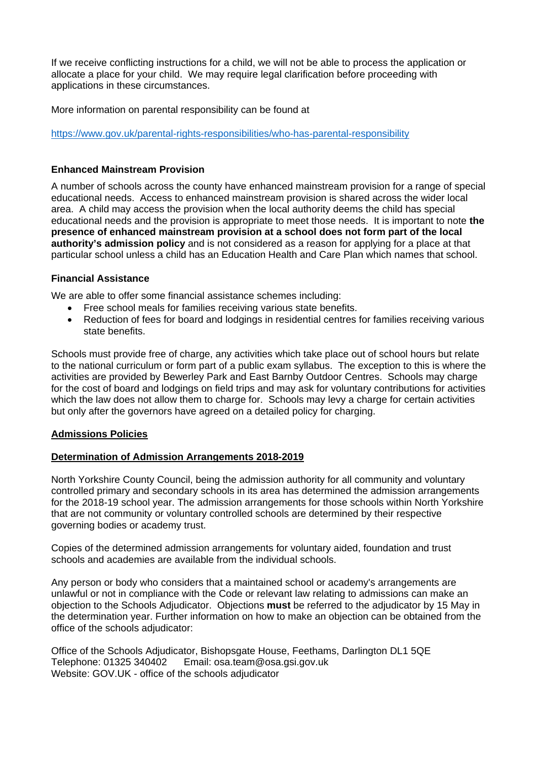If we receive conflicting instructions for a child, we will not be able to process the application or allocate a place for your child. We may require legal clarification before proceeding with applications in these circumstances.

More information on parental responsibility can be found at

https://www.gov.uk/parental-rights-responsibilities/who-has-parental-responsibility

### **Enhanced Mainstream Provision**

A number of schools across the county have enhanced mainstream provision for a range of special educational needs. Access to enhanced mainstream provision is shared across the wider local area. A child may access the provision when the local authority deems the child has special educational needs and the provision is appropriate to meet those needs. It is important to note **the presence of enhanced mainstream provision at a school does not form part of the local authority's admission policy** and is not considered as a reason for applying for a place at that particular school unless a child has an Education Health and Care Plan which names that school.

### **Financial Assistance**

We are able to offer some financial assistance schemes including:

- Free school meals for families receiving various state benefits.
- Reduction of fees for board and lodgings in residential centres for families receiving various state benefits.

Schools must provide free of charge, any activities which take place out of school hours but relate to the national curriculum or form part of a public exam syllabus. The exception to this is where the activities are provided by Bewerley Park and East Barnby Outdoor Centres. Schools may charge for the cost of board and lodgings on field trips and may ask for voluntary contributions for activities which the law does not allow them to charge for. Schools may levy a charge for certain activities but only after the governors have agreed on a detailed policy for charging.

### **Admissions Policies**

### **Determination of Admission Arrangements 2018-2019**

North Yorkshire County Council, being the admission authority for all community and voluntary controlled primary and secondary schools in its area has determined the admission arrangements for the 2018-19 school year. The admission arrangements for those schools within North Yorkshire that are not community or voluntary controlled schools are determined by their respective governing bodies or academy trust.

Copies of the determined admission arrangements for voluntary aided, foundation and trust schools and academies are available from the individual schools.

Any person or body who considers that a maintained school or academy's arrangements are unlawful or not in compliance with the Code or relevant law relating to admissions can make an objection to the Schools Adjudicator. Objections **must** be referred to the adjudicator by 15 May in the determination year. Further information on how to make an objection can be obtained from the office of the schools adjudicator:

Office of the Schools Adjudicator, Bishopsgate House, Feethams, Darlington DL1 5QE Telephone: 01325 340402 Email: osa.team@osa.gsi.gov.uk Website: GOV.UK - office of the schools adjudicator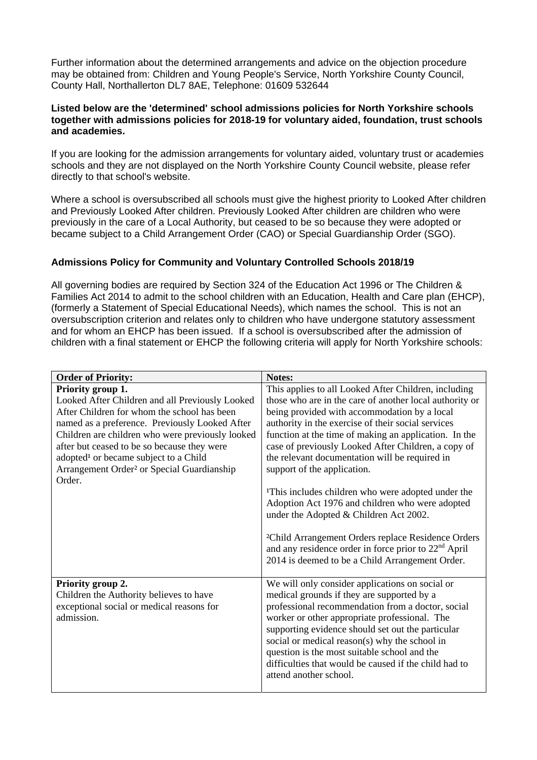Further information about the determined arrangements and advice on the objection procedure may be obtained from: Children and Young People's Service, North Yorkshire County Council, County Hall, Northallerton DL7 8AE, Telephone: 01609 532644

### **Listed below are the 'determined' school admissions policies for North Yorkshire schools together with admissions policies for 2018-19 for voluntary aided, foundation, trust schools and academies.**

If you are looking for the admission arrangements for voluntary aided, voluntary trust or academies schools and they are not displayed on the North Yorkshire County Council website, please refer directly to that school's website.

Where a school is oversubscribed all schools must give the highest priority to Looked After children and Previously Looked After children. Previously Looked After children are children who were previously in the care of a Local Authority, but ceased to be so because they were adopted or became subject to a Child Arrangement Order (CAO) or Special Guardianship Order (SGO).

### **Admissions Policy for Community and Voluntary Controlled Schools 2018/19**

All governing bodies are required by Section 324 of the Education Act 1996 or The Children & Families Act 2014 to admit to the school children with an Education, Health and Care plan (EHCP), (formerly a Statement of Special Educational Needs), which names the school. This is not an oversubscription criterion and relates only to children who have undergone statutory assessment and for whom an EHCP has been issued. If a school is oversubscribed after the admission of children with a final statement or EHCP the following criteria will apply for North Yorkshire schools:

| <b>Order of Priority:</b>                              | Notes:                                                                                    |  |
|--------------------------------------------------------|-------------------------------------------------------------------------------------------|--|
| Priority group 1.                                      | This applies to all Looked After Children, including                                      |  |
| Looked After Children and all Previously Looked        | those who are in the care of another local authority or                                   |  |
| After Children for whom the school has been            | being provided with accommodation by a local                                              |  |
| named as a preference. Previously Looked After         | authority in the exercise of their social services                                        |  |
| Children are children who were previously looked       | function at the time of making an application. In the                                     |  |
| after but ceased to be so because they were            | case of previously Looked After Children, a copy of                                       |  |
| adopted <sup>1</sup> or became subject to a Child      | the relevant documentation will be required in                                            |  |
| Arrangement Order <sup>2</sup> or Special Guardianship | support of the application.                                                               |  |
| Order.                                                 |                                                                                           |  |
|                                                        | <sup>1</sup> This includes children who were adopted under the                            |  |
|                                                        | Adoption Act 1976 and children who were adopted<br>under the Adopted & Children Act 2002. |  |
|                                                        |                                                                                           |  |
|                                                        | <sup>2</sup> Child Arrangement Orders replace Residence Orders                            |  |
|                                                        | and any residence order in force prior to $22nd$ April                                    |  |
|                                                        | 2014 is deemed to be a Child Arrangement Order.                                           |  |
|                                                        |                                                                                           |  |
| Priority group 2.                                      | We will only consider applications on social or                                           |  |
| Children the Authority believes to have                | medical grounds if they are supported by a                                                |  |
| exceptional social or medical reasons for              | professional recommendation from a doctor, social                                         |  |
| admission.                                             | worker or other appropriate professional. The                                             |  |
|                                                        | supporting evidence should set out the particular                                         |  |
|                                                        | social or medical reason(s) why the school in                                             |  |
|                                                        | question is the most suitable school and the                                              |  |
|                                                        | difficulties that would be caused if the child had to                                     |  |
|                                                        | attend another school.                                                                    |  |
|                                                        |                                                                                           |  |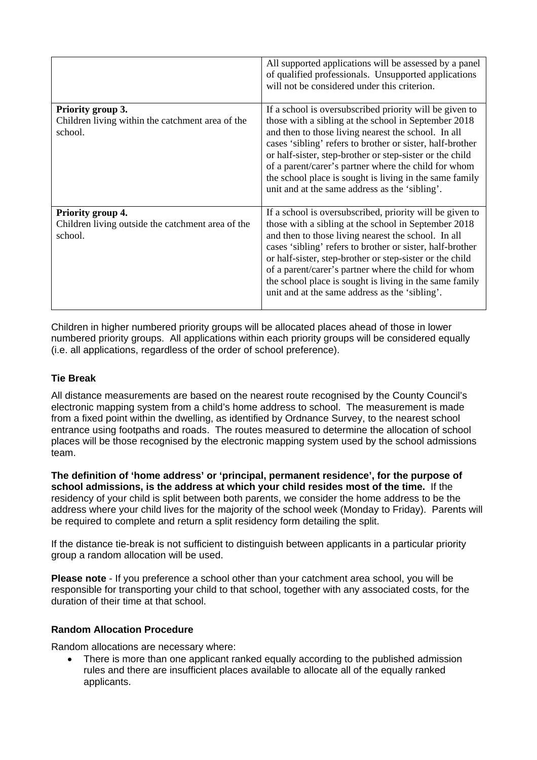|                                                                                   | All supported applications will be assessed by a panel<br>of qualified professionals. Unsupported applications<br>will not be considered under this criterion.                                                                                                                                                                                                                                                                                                        |
|-----------------------------------------------------------------------------------|-----------------------------------------------------------------------------------------------------------------------------------------------------------------------------------------------------------------------------------------------------------------------------------------------------------------------------------------------------------------------------------------------------------------------------------------------------------------------|
| Priority group 3.<br>Children living within the catchment area of the<br>school.  | If a school is oversubscribed priority will be given to<br>those with a sibling at the school in September 2018<br>and then to those living nearest the school. In all<br>cases 'sibling' refers to brother or sister, half-brother<br>or half-sister, step-brother or step-sister or the child<br>of a parent/carer's partner where the child for whom<br>the school place is sought is living in the same family<br>unit and at the same address as the 'sibling'.  |
| Priority group 4.<br>Children living outside the catchment area of the<br>school. | If a school is oversubscribed, priority will be given to<br>those with a sibling at the school in September 2018<br>and then to those living nearest the school. In all<br>cases 'sibling' refers to brother or sister, half-brother<br>or half-sister, step-brother or step-sister or the child<br>of a parent/carer's partner where the child for whom<br>the school place is sought is living in the same family<br>unit and at the same address as the 'sibling'. |

Children in higher numbered priority groups will be allocated places ahead of those in lower numbered priority groups. All applications within each priority groups will be considered equally (i.e. all applications, regardless of the order of school preference).

# **Tie Break**

All distance measurements are based on the nearest route recognised by the County Council's electronic mapping system from a child's home address to school. The measurement is made from a fixed point within the dwelling, as identified by Ordnance Survey, to the nearest school entrance using footpaths and roads. The routes measured to determine the allocation of school places will be those recognised by the electronic mapping system used by the school admissions team.

**The definition of 'home address' or 'principal, permanent residence', for the purpose of school admissions, is the address at which your child resides most of the time.** If the residency of your child is split between both parents, we consider the home address to be the address where your child lives for the majority of the school week (Monday to Friday). Parents will be required to complete and return a split residency form detailing the split.

If the distance tie-break is not sufficient to distinguish between applicants in a particular priority group a random allocation will be used.

**Please note** - If you preference a school other than your catchment area school, you will be responsible for transporting your child to that school, together with any associated costs, for the duration of their time at that school.

### **Random Allocation Procedure**

Random allocations are necessary where:

 There is more than one applicant ranked equally according to the published admission rules and there are insufficient places available to allocate all of the equally ranked applicants.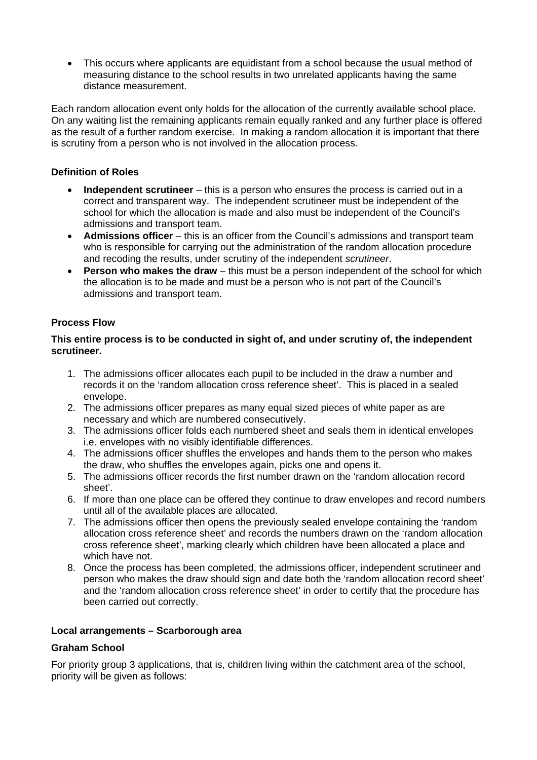• This occurs where applicants are equidistant from a school because the usual method of measuring distance to the school results in two unrelated applicants having the same distance measurement.

Each random allocation event only holds for the allocation of the currently available school place. On any waiting list the remaining applicants remain equally ranked and any further place is offered as the result of a further random exercise. In making a random allocation it is important that there is scrutiny from a person who is not involved in the allocation process.

### **Definition of Roles**

- **Independent scrutineer** this is a person who ensures the process is carried out in a correct and transparent way. The independent scrutineer must be independent of the school for which the allocation is made and also must be independent of the Council's admissions and transport team.
- **Admissions officer** this is an officer from the Council's admissions and transport team who is responsible for carrying out the administration of the random allocation procedure and recoding the results, under scrutiny of the independent *scrutineer*.
- **Person who makes the draw**  this must be a person independent of the school for which the allocation is to be made and must be a person who is not part of the Council's admissions and transport team.

### **Process Flow**

### **This entire process is to be conducted in sight of, and under scrutiny of, the independent scrutineer.**

- 1. The admissions officer allocates each pupil to be included in the draw a number and records it on the 'random allocation cross reference sheet'. This is placed in a sealed envelope.
- 2. The admissions officer prepares as many equal sized pieces of white paper as are necessary and which are numbered consecutively.
- 3. The admissions officer folds each numbered sheet and seals them in identical envelopes i.e. envelopes with no visibly identifiable differences.
- 4. The admissions officer shuffles the envelopes and hands them to the person who makes the draw, who shuffles the envelopes again, picks one and opens it.
- 5. The admissions officer records the first number drawn on the 'random allocation record sheet'.
- 6. If more than one place can be offered they continue to draw envelopes and record numbers until all of the available places are allocated.
- 7. The admissions officer then opens the previously sealed envelope containing the 'random allocation cross reference sheet' and records the numbers drawn on the 'random allocation cross reference sheet', marking clearly which children have been allocated a place and which have not.
- 8. Once the process has been completed, the admissions officer, independent scrutineer and person who makes the draw should sign and date both the 'random allocation record sheet' and the 'random allocation cross reference sheet' in order to certify that the procedure has been carried out correctly.

### **Local arrangements – Scarborough area**

# **Graham School**

For priority group 3 applications, that is, children living within the catchment area of the school, priority will be given as follows: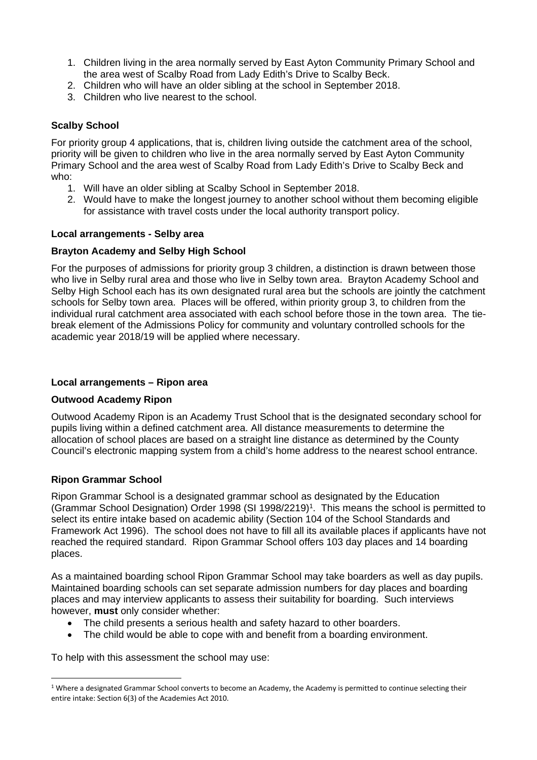- 1. Children living in the area normally served by East Ayton Community Primary School and the area west of Scalby Road from Lady Edith's Drive to Scalby Beck.
- 2. Children who will have an older sibling at the school in September 2018.
- 3. Children who live nearest to the school.

# **Scalby School**

For priority group 4 applications, that is, children living outside the catchment area of the school, priority will be given to children who live in the area normally served by East Ayton Community Primary School and the area west of Scalby Road from Lady Edith's Drive to Scalby Beck and who:

- 1. Will have an older sibling at Scalby School in September 2018.
- 2. Would have to make the longest journey to another school without them becoming eligible for assistance with travel costs under the local authority transport policy.

### **Local arrangements - Selby area**

### **Brayton Academy and Selby High School**

For the purposes of admissions for priority group 3 children, a distinction is drawn between those who live in Selby rural area and those who live in Selby town area. Brayton Academy School and Selby High School each has its own designated rural area but the schools are jointly the catchment schools for Selby town area. Places will be offered, within priority group 3, to children from the individual rural catchment area associated with each school before those in the town area. The tiebreak element of the Admissions Policy for community and voluntary controlled schools for the academic year 2018/19 will be applied where necessary.

### **Local arrangements – Ripon area**

### **Outwood Academy Ripon**

Outwood Academy Ripon is an Academy Trust School that is the designated secondary school for pupils living within a defined catchment area. All distance measurements to determine the allocation of school places are based on a straight line distance as determined by the County Council's electronic mapping system from a child's home address to the nearest school entrance.

### **Ripon Grammar School**

 $\overline{a}$ 

Ripon Grammar School is a designated grammar school as designated by the Education (Grammar School Designation) Order 1998 (SI 1998/2219)1. This means the school is permitted to select its entire intake based on academic ability (Section 104 of the School Standards and Framework Act 1996). The school does not have to fill all its available places if applicants have not reached the required standard. Ripon Grammar School offers 103 day places and 14 boarding places.

As a maintained boarding school Ripon Grammar School may take boarders as well as day pupils. Maintained boarding schools can set separate admission numbers for day places and boarding places and may interview applicants to assess their suitability for boarding. Such interviews however, **must** only consider whether:

- The child presents a serious health and safety hazard to other boarders.
- The child would be able to cope with and benefit from a boarding environment.

To help with this assessment the school may use:

 $1$  Where a designated Grammar School converts to become an Academy, the Academy is permitted to continue selecting their entire intake: Section 6(3) of the Academies Act 2010.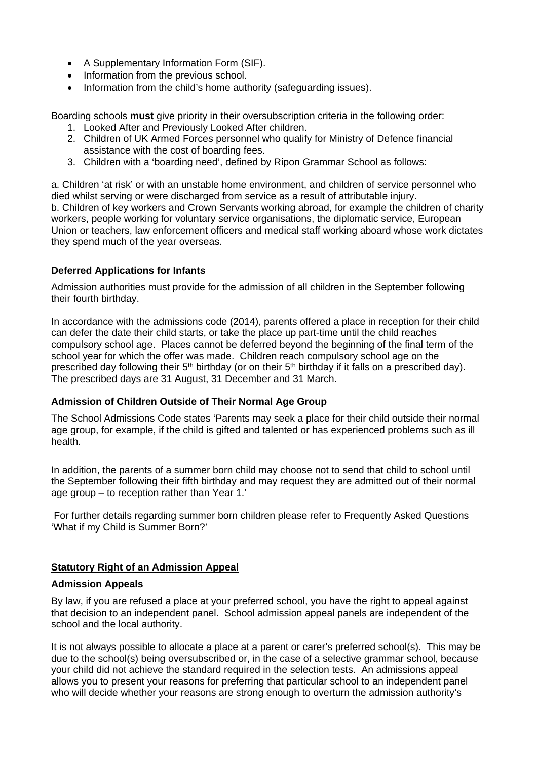- A Supplementary Information Form (SIF).
- Information from the previous school.
- Information from the child's home authority (safeguarding issues).

Boarding schools **must** give priority in their oversubscription criteria in the following order:

- 1. Looked After and Previously Looked After children.
- 2. Children of UK Armed Forces personnel who qualify for Ministry of Defence financial assistance with the cost of boarding fees.
- 3. Children with a 'boarding need', defined by Ripon Grammar School as follows:

a. Children 'at risk' or with an unstable home environment, and children of service personnel who died whilst serving or were discharged from service as a result of attributable injury. b. Children of key workers and Crown Servants working abroad, for example the children of charity workers, people working for voluntary service organisations, the diplomatic service, European Union or teachers, law enforcement officers and medical staff working aboard whose work dictates they spend much of the year overseas.

### **Deferred Applications for Infants**

Admission authorities must provide for the admission of all children in the September following their fourth birthday.

In accordance with the admissions code (2014), parents offered a place in reception for their child can defer the date their child starts, or take the place up part-time until the child reaches compulsory school age. Places cannot be deferred beyond the beginning of the final term of the school year for which the offer was made. Children reach compulsory school age on the prescribed day following their 5<sup>th</sup> birthday (or on their 5<sup>th</sup> birthday if it falls on a prescribed day). The prescribed days are 31 August, 31 December and 31 March.

# **Admission of Children Outside of Their Normal Age Group**

The School Admissions Code states 'Parents may seek a place for their child outside their normal age group, for example, if the child is gifted and talented or has experienced problems such as ill health.

In addition, the parents of a summer born child may choose not to send that child to school until the September following their fifth birthday and may request they are admitted out of their normal age group – to reception rather than Year 1.'

 For further details regarding summer born children please refer to Frequently Asked Questions 'What if my Child is Summer Born?'

### **Statutory Right of an Admission Appeal**

### **Admission Appeals**

By law, if you are refused a place at your preferred school, you have the right to appeal against that decision to an independent panel. School admission appeal panels are independent of the school and the local authority.

It is not always possible to allocate a place at a parent or carer's preferred school(s). This may be due to the school(s) being oversubscribed or, in the case of a selective grammar school, because your child did not achieve the standard required in the selection tests. An admissions appeal allows you to present your reasons for preferring that particular school to an independent panel who will decide whether your reasons are strong enough to overturn the admission authority's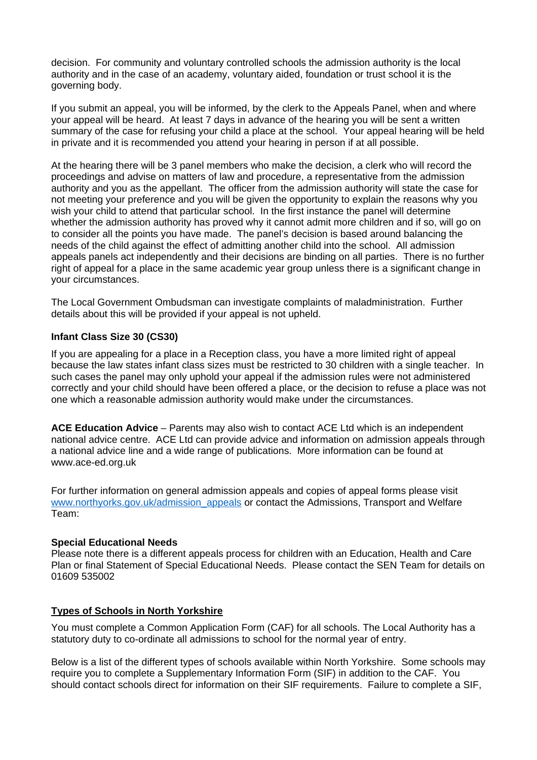decision. For community and voluntary controlled schools the admission authority is the local authority and in the case of an academy, voluntary aided, foundation or trust school it is the governing body.

If you submit an appeal, you will be informed, by the clerk to the Appeals Panel, when and where your appeal will be heard. At least 7 days in advance of the hearing you will be sent a written summary of the case for refusing your child a place at the school. Your appeal hearing will be held in private and it is recommended you attend your hearing in person if at all possible.

At the hearing there will be 3 panel members who make the decision, a clerk who will record the proceedings and advise on matters of law and procedure, a representative from the admission authority and you as the appellant. The officer from the admission authority will state the case for not meeting your preference and you will be given the opportunity to explain the reasons why you wish your child to attend that particular school. In the first instance the panel will determine whether the admission authority has proved why it cannot admit more children and if so, will go on to consider all the points you have made. The panel's decision is based around balancing the needs of the child against the effect of admitting another child into the school. All admission appeals panels act independently and their decisions are binding on all parties. There is no further right of appeal for a place in the same academic year group unless there is a significant change in your circumstances.

The Local Government Ombudsman can investigate complaints of maladministration. Further details about this will be provided if your appeal is not upheld.

### **Infant Class Size 30 (CS30)**

If you are appealing for a place in a Reception class, you have a more limited right of appeal because the law states infant class sizes must be restricted to 30 children with a single teacher. In such cases the panel may only uphold your appeal if the admission rules were not administered correctly and your child should have been offered a place, or the decision to refuse a place was not one which a reasonable admission authority would make under the circumstances.

**ACE Education Advice** – Parents may also wish to contact ACE Ltd which is an independent national advice centre. ACE Ltd can provide advice and information on admission appeals through a national advice line and a wide range of publications. More information can be found at www.ace-ed.org.uk

For further information on general admission appeals and copies of appeal forms please visit www.northyorks.gov.uk/admission\_appeals or contact the Admissions, Transport and Welfare Team:

#### **Special Educational Needs**

Please note there is a different appeals process for children with an Education, Health and Care Plan or final Statement of Special Educational Needs. Please contact the SEN Team for details on 01609 535002

### **Types of Schools in North Yorkshire**

You must complete a Common Application Form (CAF) for all schools. The Local Authority has a statutory duty to co-ordinate all admissions to school for the normal year of entry.

Below is a list of the different types of schools available within North Yorkshire. Some schools may require you to complete a Supplementary Information Form (SIF) in addition to the CAF. You should contact schools direct for information on their SIF requirements. Failure to complete a SIF,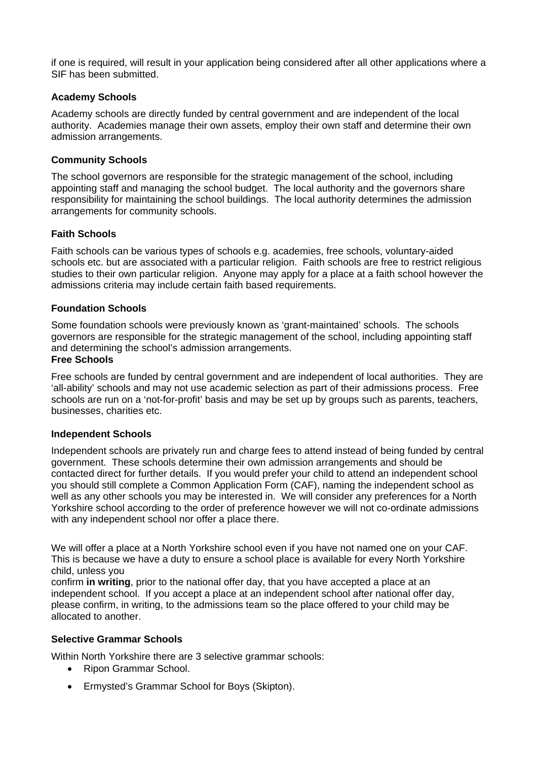if one is required, will result in your application being considered after all other applications where a SIF has been submitted.

### **Academy Schools**

Academy schools are directly funded by central government and are independent of the local authority. Academies manage their own assets, employ their own staff and determine their own admission arrangements.

### **Community Schools**

The school governors are responsible for the strategic management of the school, including appointing staff and managing the school budget. The local authority and the governors share responsibility for maintaining the school buildings. The local authority determines the admission arrangements for community schools.

### **Faith Schools**

Faith schools can be various types of schools e.g. academies, free schools, voluntary-aided schools etc. but are associated with a particular religion. Faith schools are free to restrict religious studies to their own particular religion. Anyone may apply for a place at a faith school however the admissions criteria may include certain faith based requirements.

### **Foundation Schools**

Some foundation schools were previously known as 'grant-maintained' schools. The schools governors are responsible for the strategic management of the school, including appointing staff and determining the school's admission arrangements.

### **Free Schools**

Free schools are funded by central government and are independent of local authorities. They are 'all-ability' schools and may not use academic selection as part of their admissions process. Free schools are run on a 'not-for-profit' basis and may be set up by groups such as parents, teachers, businesses, charities etc.

### **Independent Schools**

Independent schools are privately run and charge fees to attend instead of being funded by central government. These schools determine their own admission arrangements and should be contacted direct for further details. If you would prefer your child to attend an independent school you should still complete a Common Application Form (CAF), naming the independent school as well as any other schools you may be interested in. We will consider any preferences for a North Yorkshire school according to the order of preference however we will not co-ordinate admissions with any independent school nor offer a place there.

We will offer a place at a North Yorkshire school even if you have not named one on your CAF. This is because we have a duty to ensure a school place is available for every North Yorkshire child, unless you

confirm **in writing**, prior to the national offer day, that you have accepted a place at an independent school. If you accept a place at an independent school after national offer day, please confirm, in writing, to the admissions team so the place offered to your child may be allocated to another.

# **Selective Grammar Schools**

Within North Yorkshire there are 3 selective grammar schools:

- Ripon Grammar School.
- Ermysted's Grammar School for Boys (Skipton).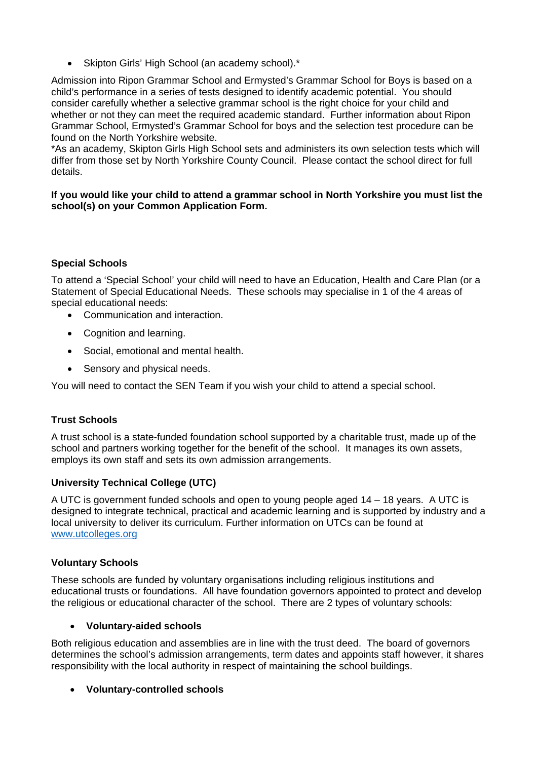• Skipton Girls' High School (an academy school).\*

Admission into Ripon Grammar School and Ermysted's Grammar School for Boys is based on a child's performance in a series of tests designed to identify academic potential. You should consider carefully whether a selective grammar school is the right choice for your child and whether or not they can meet the required academic standard. Further information about Ripon Grammar School, Ermysted's Grammar School for boys and the selection test procedure can be found on the North Yorkshire website.

\*As an academy, Skipton Girls High School sets and administers its own selection tests which will differ from those set by North Yorkshire County Council. Please contact the school direct for full details.

**If you would like your child to attend a grammar school in North Yorkshire you must list the school(s) on your Common Application Form.** 

# **Special Schools**

To attend a 'Special School' your child will need to have an Education, Health and Care Plan (or a Statement of Special Educational Needs. These schools may specialise in 1 of the 4 areas of special educational needs:

- Communication and interaction.
- Cognition and learning.
- Social, emotional and mental health.
- Sensory and physical needs.

You will need to contact the SEN Team if you wish your child to attend a special school.

### **Trust Schools**

A trust school is a state-funded foundation school supported by a charitable trust, made up of the school and partners working together for the benefit of the school. It manages its own assets, employs its own staff and sets its own admission arrangements.

### **University Technical College (UTC)**

A UTC is government funded schools and open to young people aged 14 – 18 years. A UTC is designed to integrate technical, practical and academic learning and is supported by industry and a local university to deliver its curriculum. Further information on UTCs can be found at www.utcolleges.org

### **Voluntary Schools**

These schools are funded by voluntary organisations including religious institutions and educational trusts or foundations. All have foundation governors appointed to protect and develop the religious or educational character of the school. There are 2 types of voluntary schools:

### **Voluntary-aided schools**

Both religious education and assemblies are in line with the trust deed. The board of governors determines the school's admission arrangements, term dates and appoints staff however, it shares responsibility with the local authority in respect of maintaining the school buildings.

### **Voluntary-controlled schools**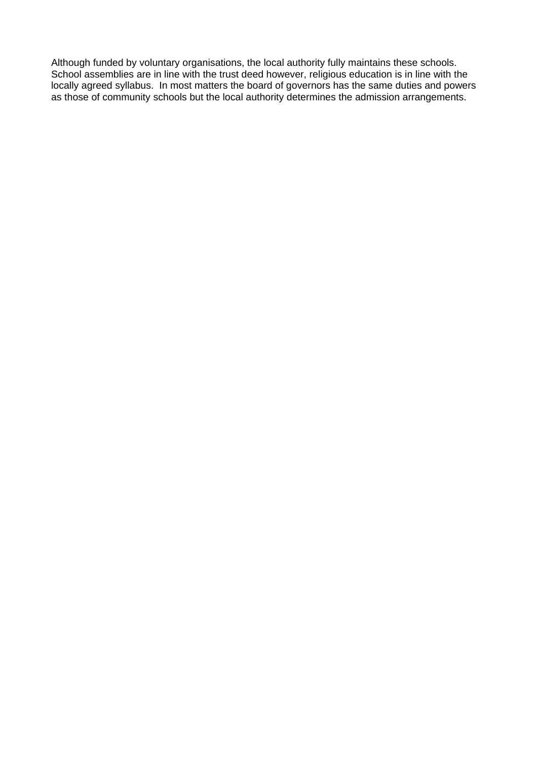Although funded by voluntary organisations, the local authority fully maintains these schools. School assemblies are in line with the trust deed however, religious education is in line with the locally agreed syllabus. In most matters the board of governors has the same duties and powers as those of community schools but the local authority determines the admission arrangements.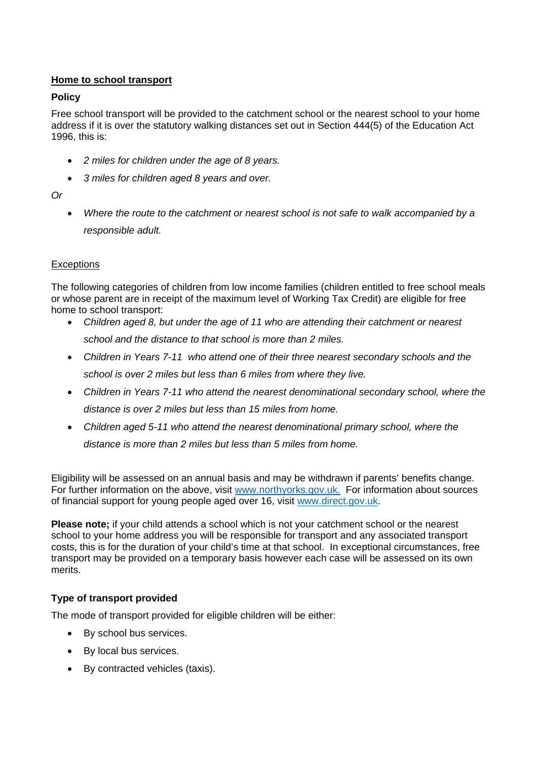### **Home to school transport**

### **Policy**

Free school transport will be provided to the catchment school or the nearest school to your home address if it is over the statutory walking distances set out in Section 444(5) of the Education Act 1996, this is:

- *2 miles for children under the age of 8 years.*
- *3 miles for children aged 8 years and over.*

*Or* 

 *Where the route to the catchment or nearest school is not safe to walk accompanied by a responsible adult.* 

### **Exceptions**

The following categories of children from low income families (children entitled to free school meals or whose parent are in receipt of the maximum level of Working Tax Credit) are eligible for free home to school transport:

- *Children aged 8, but under the age of 11 who are attending their catchment or nearest school and the distance to that school is more than 2 miles.*
- *Children in Years 7-11 who attend one of their three nearest secondary schools and the school is over 2 miles but less than 6 miles from where they live.*
- *Children in Years 7-11 who attend the nearest denominational secondary school, where the distance is over 2 miles but less than 15 miles from home.*
- *Children aged 5-11 who attend the nearest denominational primary school, where the distance is more than 2 miles but less than 5 miles from home.*

Eligibility will be assessed on an annual basis and may be withdrawn if parents' benefits change. For further information on the above, visit www.northyorks.gov.uk. For information about sources of financial support for young people aged over 16, visit www.direct.gov.uk.

**Please note;** if your child attends a school which is not your catchment school or the nearest school to your home address you will be responsible for transport and any associated transport costs, this is for the duration of your child's time at that school. In exceptional circumstances, free transport may be provided on a temporary basis however each case will be assessed on its own merits.

# **Type of transport provided**

The mode of transport provided for eligible children will be either:

- By school bus services.
- By local bus services.
- By contracted vehicles (taxis).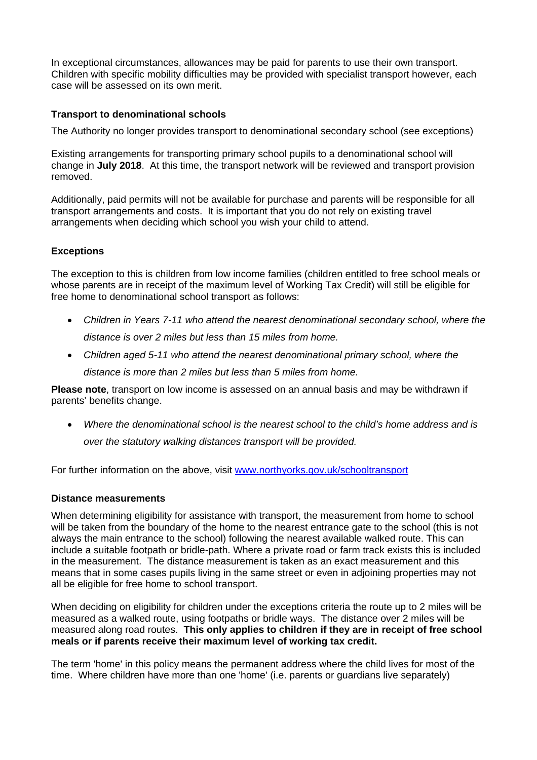In exceptional circumstances, allowances may be paid for parents to use their own transport. Children with specific mobility difficulties may be provided with specialist transport however, each case will be assessed on its own merit.

### **Transport to denominational schools**

The Authority no longer provides transport to denominational secondary school (see exceptions)

Existing arrangements for transporting primary school pupils to a denominational school will change in **July 2018**. At this time, the transport network will be reviewed and transport provision removed.

Additionally, paid permits will not be available for purchase and parents will be responsible for all transport arrangements and costs. It is important that you do not rely on existing travel arrangements when deciding which school you wish your child to attend.

### **Exceptions**

The exception to this is children from low income families (children entitled to free school meals or whose parents are in receipt of the maximum level of Working Tax Credit) will still be eligible for free home to denominational school transport as follows:

- *Children in Years 7-11 who attend the nearest denominational secondary school, where the distance is over 2 miles but less than 15 miles from home.*
- *Children aged 5-11 who attend the nearest denominational primary school, where the distance is more than 2 miles but less than 5 miles from home.*

**Please note**, transport on low income is assessed on an annual basis and may be withdrawn if parents' benefits change.

 *Where the denominational school is the nearest school to the child's home address and is over the statutory walking distances transport will be provided.* 

For further information on the above, visit www.northyorks.gov.uk/schooltransport

### **Distance measurements**

When determining eligibility for assistance with transport, the measurement from home to school will be taken from the boundary of the home to the nearest entrance gate to the school (this is not always the main entrance to the school) following the nearest available walked route. This can include a suitable footpath or bridle-path. Where a private road or farm track exists this is included in the measurement. The distance measurement is taken as an exact measurement and this means that in some cases pupils living in the same street or even in adjoining properties may not all be eligible for free home to school transport.

When deciding on eligibility for children under the exceptions criteria the route up to 2 miles will be measured as a walked route, using footpaths or bridle ways. The distance over 2 miles will be measured along road routes. **This only applies to children if they are in receipt of free school meals or if parents receive their maximum level of working tax credit.** 

The term 'home' in this policy means the permanent address where the child lives for most of the time. Where children have more than one 'home' (i.e. parents or guardians live separately)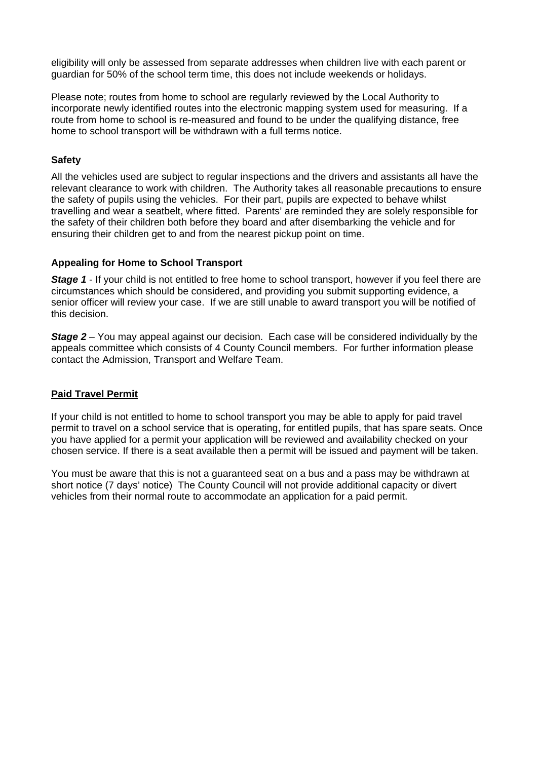eligibility will only be assessed from separate addresses when children live with each parent or guardian for 50% of the school term time, this does not include weekends or holidays.

Please note; routes from home to school are regularly reviewed by the Local Authority to incorporate newly identified routes into the electronic mapping system used for measuring. If a route from home to school is re-measured and found to be under the qualifying distance, free home to school transport will be withdrawn with a full terms notice.

### **Safety**

All the vehicles used are subject to regular inspections and the drivers and assistants all have the relevant clearance to work with children. The Authority takes all reasonable precautions to ensure the safety of pupils using the vehicles. For their part, pupils are expected to behave whilst travelling and wear a seatbelt, where fitted. Parents' are reminded they are solely responsible for the safety of their children both before they board and after disembarking the vehicle and for ensuring their children get to and from the nearest pickup point on time.

### **Appealing for Home to School Transport**

**Stage 1** - If your child is not entitled to free home to school transport, however if you feel there are circumstances which should be considered, and providing you submit supporting evidence, a senior officer will review your case. If we are still unable to award transport you will be notified of this decision.

*Stage 2* – You may appeal against our decision. Each case will be considered individually by the appeals committee which consists of 4 County Council members. For further information please contact the Admission, Transport and Welfare Team.

### **Paid Travel Permit**

If your child is not entitled to home to school transport you may be able to apply for paid travel permit to travel on a school service that is operating, for entitled pupils, that has spare seats. Once you have applied for a permit your application will be reviewed and availability checked on your chosen service. If there is a seat available then a permit will be issued and payment will be taken.

You must be aware that this is not a guaranteed seat on a bus and a pass may be withdrawn at short notice (7 days' notice) The County Council will not provide additional capacity or divert vehicles from their normal route to accommodate an application for a paid permit.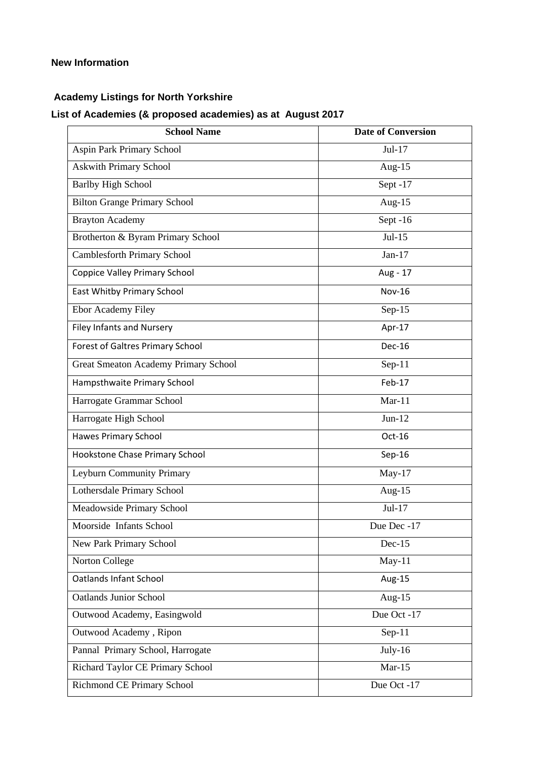### **New Information**

# **Academy Listings for North Yorkshire**

# **List of Academies (& proposed academies) as at August 2017**

| <b>School Name</b>                          | <b>Date of Conversion</b> |
|---------------------------------------------|---------------------------|
| Aspin Park Primary School                   | $Jul-17$                  |
| <b>Askwith Primary School</b>               | Aug- $15$                 |
| <b>Barlby High School</b>                   | Sept-17                   |
| <b>Bilton Grange Primary School</b>         | Aug- $15$                 |
| <b>Brayton Academy</b>                      | Sept-16                   |
| Brotherton & Byram Primary School           | $Jul-15$                  |
| Camblesforth Primary School                 | Jan- $17$                 |
| <b>Coppice Valley Primary School</b>        | Aug - 17                  |
| East Whitby Primary School                  | <b>Nov-16</b>             |
| <b>Ebor Academy Filey</b>                   | Sep- $15$                 |
| <b>Filey Infants and Nursery</b>            | Apr-17                    |
| Forest of Galtres Primary School            | <b>Dec-16</b>             |
| <b>Great Smeaton Academy Primary School</b> | $Sep-11$                  |
| Hampsthwaite Primary School                 | Feb-17                    |
| Harrogate Grammar School                    | $Mar-11$                  |
| Harrogate High School                       | $Jun-12$                  |
| <b>Hawes Primary School</b>                 | Oct-16                    |
| Hookstone Chase Primary School              | $Sep-16$                  |
| Leyburn Community Primary                   | $May-17$                  |
| Lothersdale Primary School                  | Aug- $15$                 |
| Meadowside Primary School                   | $Jul-17$                  |
| Moorside Infants School                     | Due Dec -17               |
| New Park Primary School                     | $Dec-15$                  |
| Norton College                              | $May-11$                  |
| <b>Oatlands Infant School</b>               | Aug-15                    |
| <b>Oatlands Junior School</b>               | Aug- $15$                 |
| Outwood Academy, Easingwold                 | Due Oct -17               |
| Outwood Academy, Ripon                      | $Sep-11$                  |
| Pannal Primary School, Harrogate            | $July-16$                 |
| Richard Taylor CE Primary School            | $Mar-15$                  |
| Richmond CE Primary School                  | Due Oct -17               |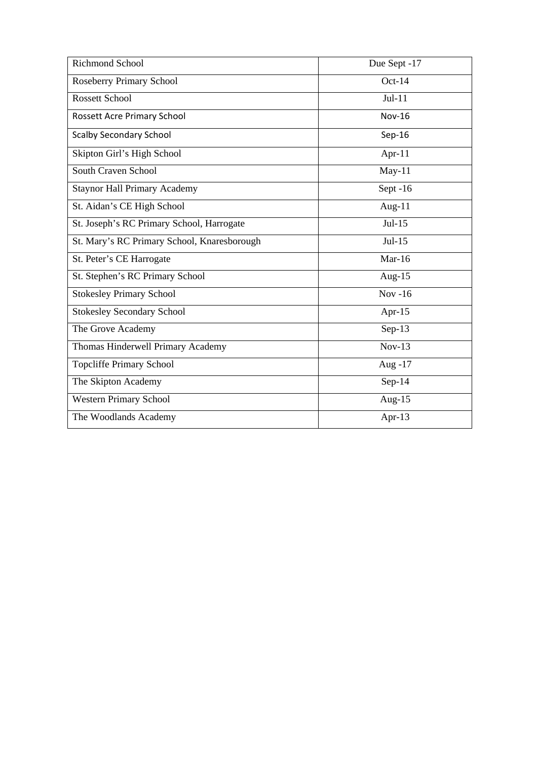| <b>Richmond School</b>                      | Due Sept -17  |
|---------------------------------------------|---------------|
| <b>Roseberry Primary School</b>             | $Oct-14$      |
| <b>Rossett School</b>                       | $Jul-11$      |
| Rossett Acre Primary School                 | <b>Nov-16</b> |
| <b>Scalby Secondary School</b>              | $Sep-16$      |
| Skipton Girl's High School                  | Apr- $11$     |
| South Craven School                         | $May-11$      |
| <b>Staynor Hall Primary Academy</b>         | Sept-16       |
| St. Aidan's CE High School                  | Aug- $11$     |
| St. Joseph's RC Primary School, Harrogate   | $Jul-15$      |
| St. Mary's RC Primary School, Knaresborough | $Jul-15$      |
| St. Peter's CE Harrogate                    | Mar-16        |
| St. Stephen's RC Primary School             | Aug- $15$     |
| <b>Stokesley Primary School</b>             | $Nov - 16$    |
| <b>Stokesley Secondary School</b>           | Apr-15        |
| The Grove Academy                           | $Sep-13$      |
| Thomas Hinderwell Primary Academy           | $Nov-13$      |
| <b>Topcliffe Primary School</b>             | Aug -17       |
| The Skipton Academy                         | $Sep-14$      |
| Western Primary School                      | Aug- $15$     |
| The Woodlands Academy                       | Apr-13        |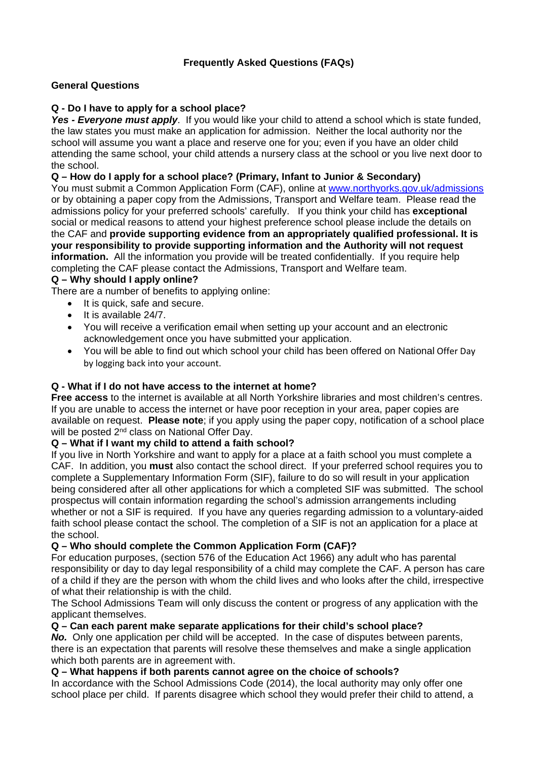# **Frequently Asked Questions (FAQs)**

### **General Questions**

### **Q - Do I have to apply for a school place?**

Yes - Everyone must apply. If you would like your child to attend a school which is state funded, the law states you must make an application for admission. Neither the local authority nor the school will assume you want a place and reserve one for you; even if you have an older child attending the same school, your child attends a nursery class at the school or you live next door to the school.

### **Q – How do I apply for a school place? (Primary, Infant to Junior & Secondary)**

You must submit a Common Application Form (CAF), online at www.northyorks.gov.uk/admissions or by obtaining a paper copy from the Admissions, Transport and Welfare team. Please read the admissions policy for your preferred schools' carefully. If you think your child has **exceptional**  social or medical reasons to attend your highest preference school please include the details on the CAF and **provide supporting evidence from an appropriately qualified professional. It is your responsibility to provide supporting information and the Authority will not request information.** All the information you provide will be treated confidentially. If you require help completing the CAF please contact the Admissions, Transport and Welfare team.

### **Q – Why should I apply online?**

There are a number of benefits to applying online:

- It is quick, safe and secure.
- $\bullet$  It is available 24/7.
- You will receive a verification email when setting up your account and an electronic acknowledgement once you have submitted your application.
- You will be able to find out which school your child has been offered on National Offer Day by logging back into your account.

### **Q - What if I do not have access to the internet at home?**

**Free access** to the internet is available at all North Yorkshire libraries and most children's centres. If you are unable to access the internet or have poor reception in your area, paper copies are available on request. **Please note**; if you apply using the paper copy, notification of a school place will be posted 2<sup>nd</sup> class on National Offer Day.

### **Q – What if I want my child to attend a faith school?**

If you live in North Yorkshire and want to apply for a place at a faith school you must complete a CAF. In addition, you **must** also contact the school direct. If your preferred school requires you to complete a Supplementary Information Form (SIF), failure to do so will result in your application being considered after all other applications for which a completed SIF was submitted. The school prospectus will contain information regarding the school's admission arrangements including whether or not a SIF is required. If you have any queries regarding admission to a voluntary-aided faith school please contact the school. The completion of a SIF is not an application for a place at the school.

### **Q – Who should complete the Common Application Form (CAF)?**

For education purposes, (section 576 of the Education Act 1966) any adult who has parental responsibility or day to day legal responsibility of a child may complete the CAF. A person has care of a child if they are the person with whom the child lives and who looks after the child, irrespective of what their relationship is with the child.

The School Admissions Team will only discuss the content or progress of any application with the applicant themselves.

### **Q – Can each parent make separate applications for their child's school place?**

**No.** Only one application per child will be accepted. In the case of disputes between parents, there is an expectation that parents will resolve these themselves and make a single application which both parents are in agreement with.

### **Q – What happens if both parents cannot agree on the choice of schools?**

In accordance with the School Admissions Code (2014), the local authority may only offer one school place per child. If parents disagree which school they would prefer their child to attend, a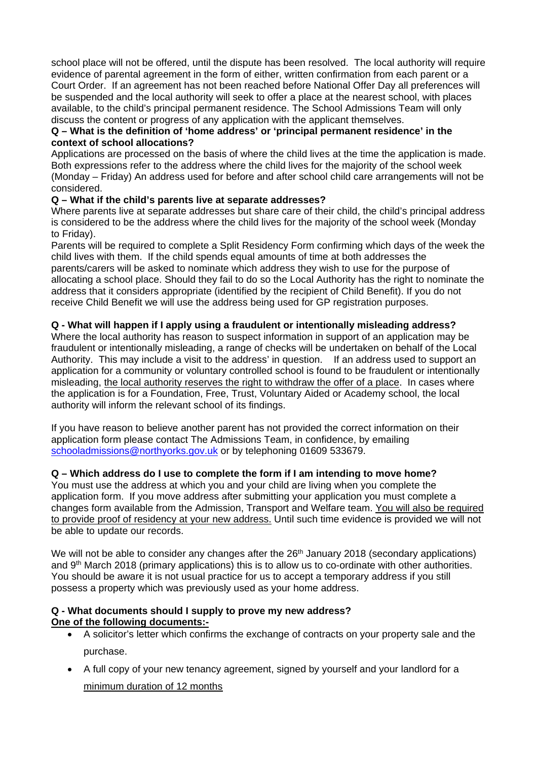school place will not be offered, until the dispute has been resolved. The local authority will require evidence of parental agreement in the form of either, written confirmation from each parent or a Court Order. If an agreement has not been reached before National Offer Day all preferences will be suspended and the local authority will seek to offer a place at the nearest school, with places available, to the child's principal permanent residence. The School Admissions Team will only discuss the content or progress of any application with the applicant themselves.

### **Q – What is the definition of 'home address' or 'principal permanent residence' in the context of school allocations?**

Applications are processed on the basis of where the child lives at the time the application is made. Both expressions refer to the address where the child lives for the majority of the school week (Monday – Friday) An address used for before and after school child care arrangements will not be considered.

### **Q – What if the child's parents live at separate addresses?**

Where parents live at separate addresses but share care of their child, the child's principal address is considered to be the address where the child lives for the majority of the school week (Monday to Friday).

Parents will be required to complete a Split Residency Form confirming which days of the week the child lives with them. If the child spends equal amounts of time at both addresses the parents/carers will be asked to nominate which address they wish to use for the purpose of allocating a school place. Should they fail to do so the Local Authority has the right to nominate the address that it considers appropriate (identified by the recipient of Child Benefit). If you do not receive Child Benefit we will use the address being used for GP registration purposes.

# **Q - What will happen if I apply using a fraudulent or intentionally misleading address?**

Where the local authority has reason to suspect information in support of an application may be fraudulent or intentionally misleading, a range of checks will be undertaken on behalf of the Local Authority. This may include a visit to the address' in question. If an address used to support an application for a community or voluntary controlled school is found to be fraudulent or intentionally misleading, the local authority reserves the right to withdraw the offer of a place. In cases where the application is for a Foundation, Free, Trust, Voluntary Aided or Academy school, the local authority will inform the relevant school of its findings.

If you have reason to believe another parent has not provided the correct information on their application form please contact The Admissions Team, in confidence, by emailing schooladmissions@northyorks.gov.uk or by telephoning 01609 533679.

# **Q – Which address do I use to complete the form if I am intending to move home?**

You must use the address at which you and your child are living when you complete the application form. If you move address after submitting your application you must complete a changes form available from the Admission, Transport and Welfare team. You will also be required to provide proof of residency at your new address. Until such time evidence is provided we will not be able to update our records.

We will not be able to consider any changes after the 26<sup>th</sup> January 2018 (secondary applications) and 9<sup>th</sup> March 2018 (primary applications) this is to allow us to co-ordinate with other authorities. You should be aware it is not usual practice for us to accept a temporary address if you still possess a property which was previously used as your home address.

### **Q - What documents should I supply to prove my new address? One of the following documents:-**

- A solicitor's letter which confirms the exchange of contracts on your property sale and the purchase.
- A full copy of your new tenancy agreement, signed by yourself and your landlord for a minimum duration of 12 months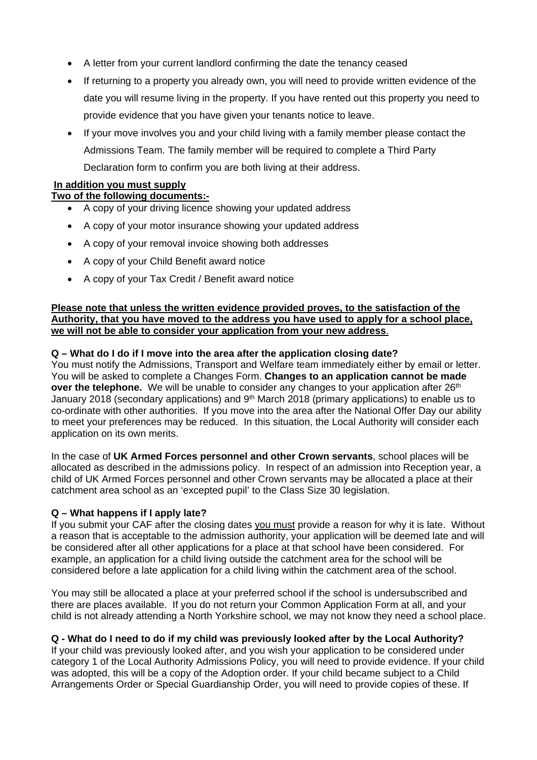- A letter from your current landlord confirming the date the tenancy ceased
- If returning to a property you already own, you will need to provide written evidence of the date you will resume living in the property. If you have rented out this property you need to provide evidence that you have given your tenants notice to leave.
- If your move involves you and your child living with a family member please contact the Admissions Team. The family member will be required to complete a Third Party Declaration form to confirm you are both living at their address.

### **In addition you must supply**

### **Two of the following documents:-**

- A copy of your driving licence showing your updated address
- A copy of your motor insurance showing your updated address
- A copy of your removal invoice showing both addresses
- A copy of your Child Benefit award notice
- A copy of your Tax Credit / Benefit award notice

### **Please note that unless the written evidence provided proves, to the satisfaction of the Authority, that you have moved to the address you have used to apply for a school place, we will not be able to consider your application from your new address**.

### **Q – What do I do if I move into the area after the application closing date?**

You must notify the Admissions, Transport and Welfare team immediately either by email or letter. You will be asked to complete a Changes Form. **Changes to an application cannot be made over the telephone.** We will be unable to consider any changes to your application after 26<sup>th</sup> January 2018 (secondary applications) and 9<sup>th</sup> March 2018 (primary applications) to enable us to co-ordinate with other authorities. If you move into the area after the National Offer Day our ability to meet your preferences may be reduced. In this situation, the Local Authority will consider each application on its own merits.

In the case of **UK Armed Forces personnel and other Crown servants**, school places will be allocated as described in the admissions policy. In respect of an admission into Reception year, a child of UK Armed Forces personnel and other Crown servants may be allocated a place at their catchment area school as an 'excepted pupil' to the Class Size 30 legislation.

### **Q – What happens if I apply late?**

If you submit your CAF after the closing dates you must provide a reason for why it is late. Without a reason that is acceptable to the admission authority, your application will be deemed late and will be considered after all other applications for a place at that school have been considered. For example, an application for a child living outside the catchment area for the school will be considered before a late application for a child living within the catchment area of the school.

You may still be allocated a place at your preferred school if the school is undersubscribed and there are places available. If you do not return your Common Application Form at all, and your child is not already attending a North Yorkshire school, we may not know they need a school place.

# **Q - What do I need to do if my child was previously looked after by the Local Authority?**

If your child was previously looked after, and you wish your application to be considered under category 1 of the Local Authority Admissions Policy, you will need to provide evidence. If your child was adopted, this will be a copy of the Adoption order. If your child became subject to a Child Arrangements Order or Special Guardianship Order, you will need to provide copies of these. If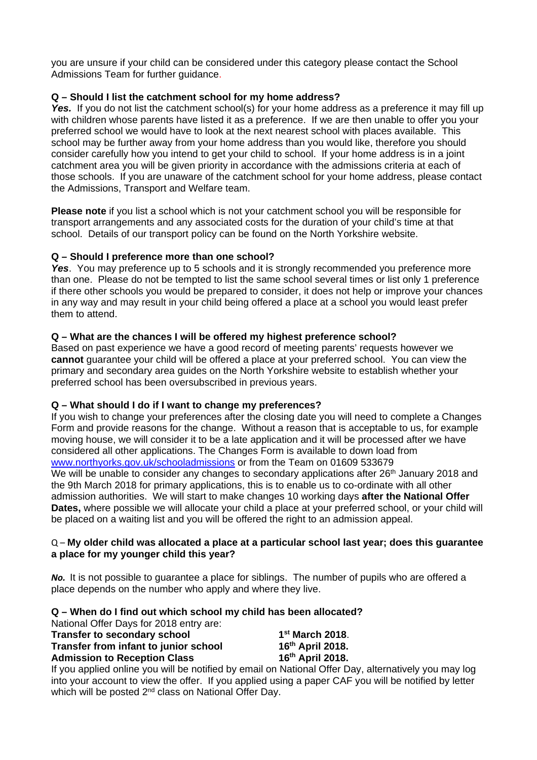you are unsure if your child can be considered under this category please contact the School Admissions Team for further guidance.

### **Q – Should I list the catchment school for my home address?**

**Yes.** If you do not list the catchment school(s) for your home address as a preference it may fill up with children whose parents have listed it as a preference. If we are then unable to offer you your preferred school we would have to look at the next nearest school with places available. This school may be further away from your home address than you would like, therefore you should consider carefully how you intend to get your child to school. If your home address is in a joint catchment area you will be given priority in accordance with the admissions criteria at each of those schools. If you are unaware of the catchment school for your home address, please contact the Admissions, Transport and Welfare team.

**Please note** if you list a school which is not your catchment school you will be responsible for transport arrangements and any associated costs for the duration of your child's time at that school. Details of our transport policy can be found on the North Yorkshire website.

### **Q – Should I preference more than one school?**

**Yes.** You may preference up to 5 schools and it is strongly recommended you preference more than one. Please do not be tempted to list the same school several times or list only 1 preference if there other schools you would be prepared to consider, it does not help or improve your chances in any way and may result in your child being offered a place at a school you would least prefer them to attend.

### **Q – What are the chances I will be offered my highest preference school?**

Based on past experience we have a good record of meeting parents' requests however we **cannot** guarantee your child will be offered a place at your preferred school. You can view the primary and secondary area guides on the North Yorkshire website to establish whether your preferred school has been oversubscribed in previous years.

### **Q – What should I do if I want to change my preferences?**

If you wish to change your preferences after the closing date you will need to complete a Changes Form and provide reasons for the change. Without a reason that is acceptable to us, for example moving house, we will consider it to be a late application and it will be processed after we have considered all other applications. The Changes Form is available to down load from www.northyorks.gov.uk/schooladmissions or from the Team on 01609 533679 We will be unable to consider any changes to secondary applications after 26<sup>th</sup> January 2018 and the 9th March 2018 for primary applications, this is to enable us to co-ordinate with all other admission authorities. We will start to make changes 10 working days **after the National Offer Dates,** where possible we will allocate your child a place at your preferred school, or your child will be placed on a waiting list and you will be offered the right to an admission appeal.

### Q – **My older child was allocated a place at a particular school last year; does this guarantee a place for my younger child this year?**

*No.* It is not possible to guarantee a place for siblings. The number of pupils who are offered a place depends on the number who apply and where they live.

### **Q – When do I find out which school my child has been allocated?**

National Offer Days for 2018 entry are:

| <b>Transfer to secondary school</b>   |  |                  | 1 <sup>st</sup> March 2018. |                  |
|---------------------------------------|--|------------------|-----------------------------|------------------|
| Transfer from infant to junior school |  | 16th April 2018. |                             |                  |
| <b>Admission to Reception Class</b>   |  |                  |                             | 16th April 2018. |
|                                       |  |                  |                             |                  |

If you applied online you will be notified by email on National Offer Day, alternatively you may log into your account to view the offer. If you applied using a paper CAF you will be notified by letter which will be posted 2<sup>nd</sup> class on National Offer Day.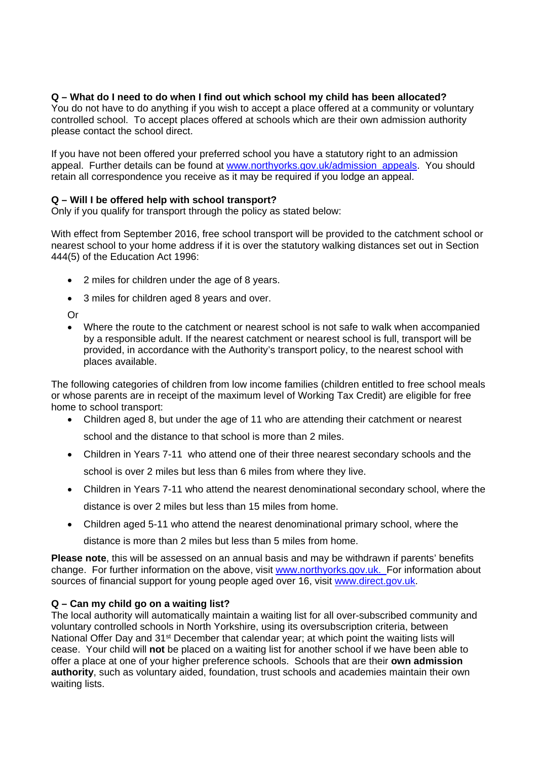### **Q – What do I need to do when I find out which school my child has been allocated?**

You do not have to do anything if you wish to accept a place offered at a community or voluntary controlled school. To accept places offered at schools which are their own admission authority please contact the school direct.

If you have not been offered your preferred school you have a statutory right to an admission appeal. Further details can be found at www.northyorks.gov.uk/admission\_appeals. You should retain all correspondence you receive as it may be required if you lodge an appeal.

# **Q – Will I be offered help with school transport?**

Only if you qualify for transport through the policy as stated below:

With effect from September 2016, free school transport will be provided to the catchment school or nearest school to your home address if it is over the statutory walking distances set out in Section 444(5) of the Education Act 1996:

- 2 miles for children under the age of 8 years.
- 3 miles for children aged 8 years and over.

Or

 Where the route to the catchment or nearest school is not safe to walk when accompanied by a responsible adult. If the nearest catchment or nearest school is full, transport will be provided, in accordance with the Authority's transport policy, to the nearest school with places available.

The following categories of children from low income families (children entitled to free school meals or whose parents are in receipt of the maximum level of Working Tax Credit) are eligible for free home to school transport:

- Children aged 8, but under the age of 11 who are attending their catchment or nearest school and the distance to that school is more than 2 miles.
- Children in Years 7-11 who attend one of their three nearest secondary schools and the school is over 2 miles but less than 6 miles from where they live.
- Children in Years 7-11 who attend the nearest denominational secondary school, where the distance is over 2 miles but less than 15 miles from home.
- Children aged 5-11 who attend the nearest denominational primary school, where the distance is more than 2 miles but less than 5 miles from home.

**Please note**, this will be assessed on an annual basis and may be withdrawn if parents' benefits change. For further information on the above, visit www.northyorks.gov.uk. For information about sources of financial support for young people aged over 16, visit www.direct.gov.uk.

# **Q – Can my child go on a waiting list?**

The local authority will automatically maintain a waiting list for all over-subscribed community and voluntary controlled schools in North Yorkshire, using its oversubscription criteria, between National Offer Day and 31<sup>st</sup> December that calendar year; at which point the waiting lists will cease. Your child will **not** be placed on a waiting list for another school if we have been able to offer a place at one of your higher preference schools. Schools that are their **own admission authority**, such as voluntary aided, foundation, trust schools and academies maintain their own waiting lists.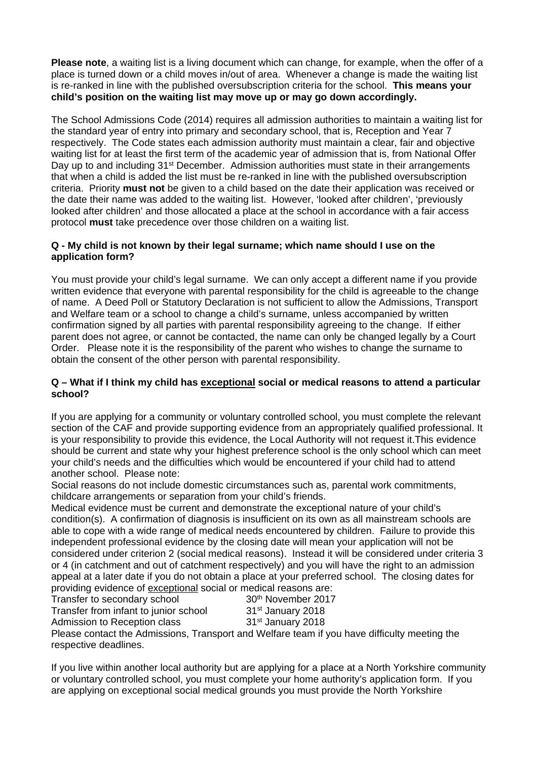**Please note**, a waiting list is a living document which can change, for example, when the offer of a place is turned down or a child moves in/out of area. Whenever a change is made the waiting list is re-ranked in line with the published oversubscription criteria for the school. **This means your child's position on the waiting list may move up or may go down accordingly.**

The School Admissions Code (2014) requires all admission authorities to maintain a waiting list for the standard year of entry into primary and secondary school, that is, Reception and Year 7 respectively. The Code states each admission authority must maintain a clear, fair and objective waiting list for at least the first term of the academic year of admission that is, from National Offer Day up to and including 31<sup>st</sup> December. Admission authorities must state in their arrangements that when a child is added the list must be re-ranked in line with the published oversubscription criteria. Priority **must not** be given to a child based on the date their application was received or the date their name was added to the waiting list. However, 'looked after children', 'previously looked after children' and those allocated a place at the school in accordance with a fair access protocol **must** take precedence over those children on a waiting list.

### **Q - My child is not known by their legal surname; which name should I use on the application form?**

You must provide your child's legal surname. We can only accept a different name if you provide written evidence that everyone with parental responsibility for the child is agreeable to the change of name. A Deed Poll or Statutory Declaration is not sufficient to allow the Admissions, Transport and Welfare team or a school to change a child's surname, unless accompanied by written confirmation signed by all parties with parental responsibility agreeing to the change. If either parent does not agree, or cannot be contacted, the name can only be changed legally by a Court Order. Please note it is the responsibility of the parent who wishes to change the surname to obtain the consent of the other person with parental responsibility.

### **Q – What if I think my child has exceptional social or medical reasons to attend a particular school?**

If you are applying for a community or voluntary controlled school, you must complete the relevant section of the CAF and provide supporting evidence from an appropriately qualified professional. It is your responsibility to provide this evidence, the Local Authority will not request it.This evidence should be current and state why your highest preference school is the only school which can meet your child's needs and the difficulties which would be encountered if your child had to attend another school. Please note:

Social reasons do not include domestic circumstances such as, parental work commitments, childcare arrangements or separation from your child's friends.

Medical evidence must be current and demonstrate the exceptional nature of your child's condition(s). A confirmation of diagnosis is insufficient on its own as all mainstream schools are able to cope with a wide range of medical needs encountered by children. Failure to provide this independent professional evidence by the closing date will mean your application will not be considered under criterion 2 (social medical reasons). Instead it will be considered under criteria 3 or 4 (in catchment and out of catchment respectively) and you will have the right to an admission appeal at a later date if you do not obtain a place at your preferred school. The closing dates for providing evidence of exceptional social or medical reasons are:

Transfer to secondary school 30<sup>th</sup> November 2017 Transfer from infant to junior school 31<sup>st</sup> January 2018

Admission to Reception class 31<sup>st</sup> January 2018

Please contact the Admissions, Transport and Welfare team if you have difficulty meeting the respective deadlines.

If you live within another local authority but are applying for a place at a North Yorkshire community or voluntary controlled school, you must complete your home authority's application form. If you are applying on exceptional social medical grounds you must provide the North Yorkshire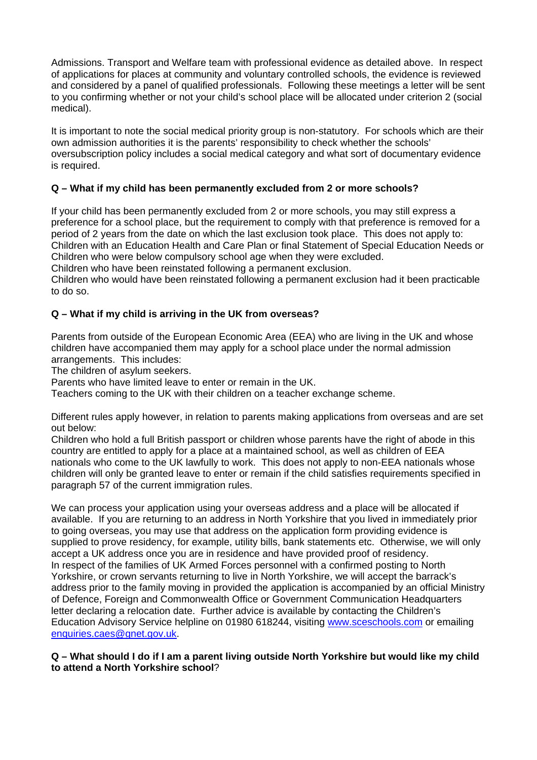Admissions. Transport and Welfare team with professional evidence as detailed above. In respect of applications for places at community and voluntary controlled schools, the evidence is reviewed and considered by a panel of qualified professionals. Following these meetings a letter will be sent to you confirming whether or not your child's school place will be allocated under criterion 2 (social medical).

It is important to note the social medical priority group is non-statutory. For schools which are their own admission authorities it is the parents' responsibility to check whether the schools' oversubscription policy includes a social medical category and what sort of documentary evidence is required.

# **Q – What if my child has been permanently excluded from 2 or more schools?**

If your child has been permanently excluded from 2 or more schools, you may still express a preference for a school place, but the requirement to comply with that preference is removed for a period of 2 years from the date on which the last exclusion took place. This does not apply to: Children with an Education Health and Care Plan or final Statement of Special Education Needs or Children who were below compulsory school age when they were excluded.

Children who have been reinstated following a permanent exclusion.

Children who would have been reinstated following a permanent exclusion had it been practicable to do so.

# **Q – What if my child is arriving in the UK from overseas?**

Parents from outside of the European Economic Area (EEA) who are living in the UK and whose children have accompanied them may apply for a school place under the normal admission arrangements. This includes:

The children of asylum seekers.

Parents who have limited leave to enter or remain in the UK.

Teachers coming to the UK with their children on a teacher exchange scheme.

Different rules apply however, in relation to parents making applications from overseas and are set out below:

Children who hold a full British passport or children whose parents have the right of abode in this country are entitled to apply for a place at a maintained school, as well as children of EEA nationals who come to the UK lawfully to work. This does not apply to non-EEA nationals whose children will only be granted leave to enter or remain if the child satisfies requirements specified in paragraph 57 of the current immigration rules.

We can process your application using your overseas address and a place will be allocated if available. If you are returning to an address in North Yorkshire that you lived in immediately prior to going overseas, you may use that address on the application form providing evidence is supplied to prove residency, for example, utility bills, bank statements etc. Otherwise, we will only accept a UK address once you are in residence and have provided proof of residency. In respect of the families of UK Armed Forces personnel with a confirmed posting to North Yorkshire, or crown servants returning to live in North Yorkshire, we will accept the barrack's address prior to the family moving in provided the application is accompanied by an official Ministry of Defence, Foreign and Commonwealth Office or Government Communication Headquarters letter declaring a relocation date. Further advice is available by contacting the Children's Education Advisory Service helpline on 01980 618244, visiting www.sceschools.com or emailing enquiries.caes@gnet.gov.uk.

### **Q – What should I do if I am a parent living outside North Yorkshire but would like my child to attend a North Yorkshire school**?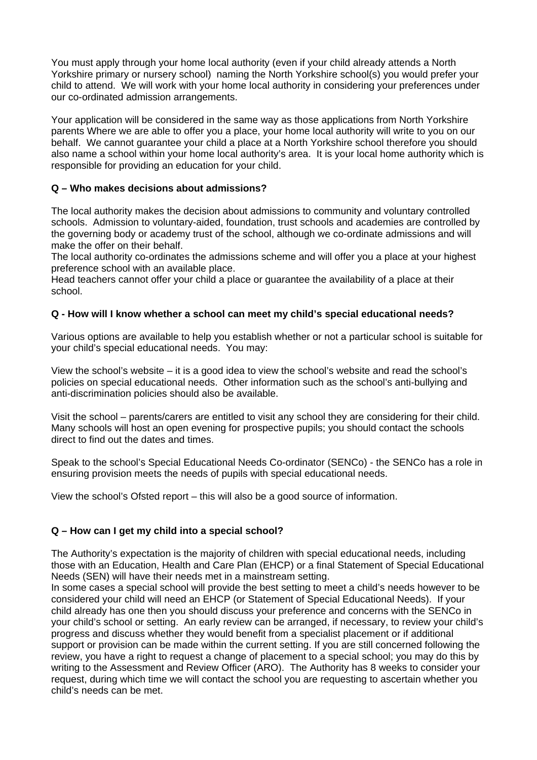You must apply through your home local authority (even if your child already attends a North Yorkshire primary or nursery school) naming the North Yorkshire school(s) you would prefer your child to attend. We will work with your home local authority in considering your preferences under our co-ordinated admission arrangements.

Your application will be considered in the same way as those applications from North Yorkshire parents Where we are able to offer you a place, your home local authority will write to you on our behalf. We cannot guarantee your child a place at a North Yorkshire school therefore you should also name a school within your home local authority's area. It is your local home authority which is responsible for providing an education for your child.

### **Q – Who makes decisions about admissions?**

The local authority makes the decision about admissions to community and voluntary controlled schools. Admission to voluntary-aided, foundation, trust schools and academies are controlled by the governing body or academy trust of the school, although we co-ordinate admissions and will make the offer on their behalf.

The local authority co-ordinates the admissions scheme and will offer you a place at your highest preference school with an available place.

Head teachers cannot offer your child a place or guarantee the availability of a place at their school.

### **Q - How will I know whether a school can meet my child's special educational needs?**

Various options are available to help you establish whether or not a particular school is suitable for your child's special educational needs. You may:

View the school's website – it is a good idea to view the school's website and read the school's policies on special educational needs. Other information such as the school's anti-bullying and anti-discrimination policies should also be available.

Visit the school – parents/carers are entitled to visit any school they are considering for their child. Many schools will host an open evening for prospective pupils; you should contact the schools direct to find out the dates and times.

Speak to the school's Special Educational Needs Co-ordinator (SENCo) - the SENCo has a role in ensuring provision meets the needs of pupils with special educational needs.

View the school's Ofsted report – this will also be a good source of information.

### **Q – How can I get my child into a special school?**

The Authority's expectation is the majority of children with special educational needs, including those with an Education, Health and Care Plan (EHCP) or a final Statement of Special Educational Needs (SEN) will have their needs met in a mainstream setting.

In some cases a special school will provide the best setting to meet a child's needs however to be considered your child will need an EHCP (or Statement of Special Educational Needs). If your child already has one then you should discuss your preference and concerns with the SENCo in your child's school or setting. An early review can be arranged, if necessary, to review your child's progress and discuss whether they would benefit from a specialist placement or if additional support or provision can be made within the current setting. If you are still concerned following the review, you have a right to request a change of placement to a special school; you may do this by writing to the Assessment and Review Officer (ARO). The Authority has 8 weeks to consider your request, during which time we will contact the school you are requesting to ascertain whether you child's needs can be met.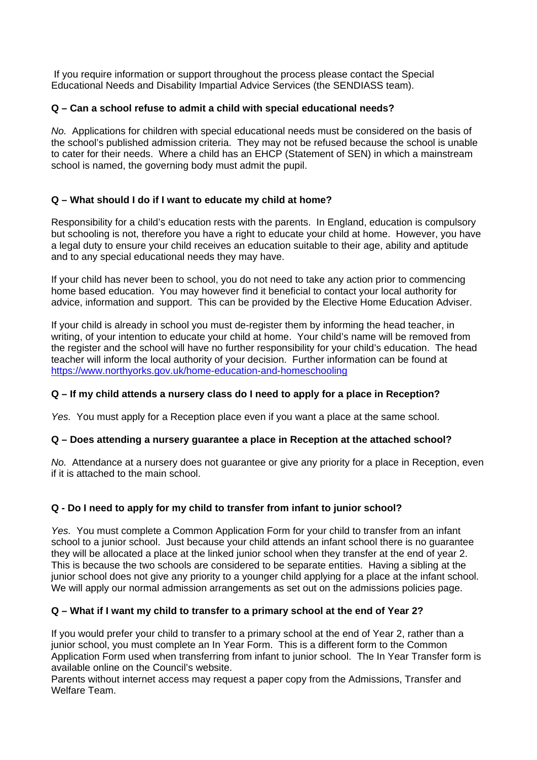If you require information or support throughout the process please contact the Special Educational Needs and Disability Impartial Advice Services (the SENDIASS team).

### **Q – Can a school refuse to admit a child with special educational needs?**

*No.* Applications for children with special educational needs must be considered on the basis of the school's published admission criteria. They may not be refused because the school is unable to cater for their needs. Where a child has an EHCP (Statement of SEN) in which a mainstream school is named, the governing body must admit the pupil.

### **Q – What should I do if I want to educate my child at home?**

Responsibility for a child's education rests with the parents. In England, education is compulsory but schooling is not, therefore you have a right to educate your child at home. However, you have a legal duty to ensure your child receives an education suitable to their age, ability and aptitude and to any special educational needs they may have.

If your child has never been to school, you do not need to take any action prior to commencing home based education. You may however find it beneficial to contact your local authority for advice, information and support. This can be provided by the Elective Home Education Adviser.

If your child is already in school you must de-register them by informing the head teacher, in writing, of your intention to educate your child at home. Your child's name will be removed from the register and the school will have no further responsibility for your child's education. The head teacher will inform the local authority of your decision. Further information can be found at https://www.northyorks.gov.uk/home-education-and-homeschooling

# **Q – If my child attends a nursery class do I need to apply for a place in Reception?**

*Yes.* You must apply for a Reception place even if you want a place at the same school.

### **Q – Does attending a nursery guarantee a place in Reception at the attached school?**

*No.* Attendance at a nursery does not guarantee or give any priority for a place in Reception, even if it is attached to the main school.

# **Q - Do I need to apply for my child to transfer from infant to junior school?**

*Yes.* You must complete a Common Application Form for your child to transfer from an infant school to a junior school. Just because your child attends an infant school there is no guarantee they will be allocated a place at the linked junior school when they transfer at the end of year 2. This is because the two schools are considered to be separate entities. Having a sibling at the junior school does not give any priority to a younger child applying for a place at the infant school. We will apply our normal admission arrangements as set out on the admissions policies page.

### **Q – What if I want my child to transfer to a primary school at the end of Year 2?**

If you would prefer your child to transfer to a primary school at the end of Year 2, rather than a junior school, you must complete an In Year Form. This is a different form to the Common Application Form used when transferring from infant to junior school. The In Year Transfer form is available online on the Council's website.

Parents without internet access may request a paper copy from the Admissions, Transfer and Welfare Team.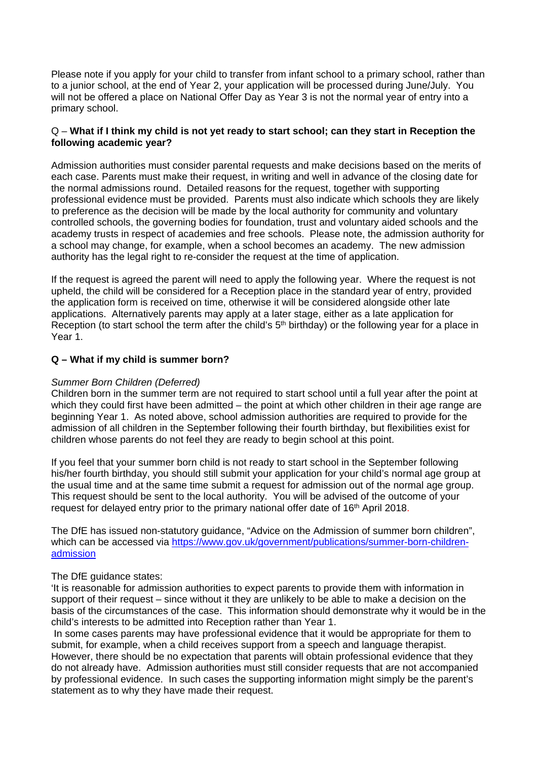Please note if you apply for your child to transfer from infant school to a primary school, rather than to a junior school, at the end of Year 2, your application will be processed during June/July. You will not be offered a place on National Offer Day as Year 3 is not the normal year of entry into a primary school.

### Q – **What if I think my child is not yet ready to start school; can they start in Reception the following academic year?**

Admission authorities must consider parental requests and make decisions based on the merits of each case. Parents must make their request, in writing and well in advance of the closing date for the normal admissions round. Detailed reasons for the request, together with supporting professional evidence must be provided. Parents must also indicate which schools they are likely to preference as the decision will be made by the local authority for community and voluntary controlled schools, the governing bodies for foundation, trust and voluntary aided schools and the academy trusts in respect of academies and free schools. Please note, the admission authority for a school may change, for example, when a school becomes an academy. The new admission authority has the legal right to re-consider the request at the time of application.

If the request is agreed the parent will need to apply the following year. Where the request is not upheld, the child will be considered for a Reception place in the standard year of entry, provided the application form is received on time, otherwise it will be considered alongside other late applications. Alternatively parents may apply at a later stage, either as a late application for Reception (to start school the term after the child's 5<sup>th</sup> birthday) or the following year for a place in Year 1.

### **Q – What if my child is summer born?**

#### *Summer Born Children (Deferred)*

Children born in the summer term are not required to start school until a full year after the point at which they could first have been admitted – the point at which other children in their age range are beginning Year 1. As noted above, school admission authorities are required to provide for the admission of all children in the September following their fourth birthday, but flexibilities exist for children whose parents do not feel they are ready to begin school at this point.

If you feel that your summer born child is not ready to start school in the September following his/her fourth birthday, you should still submit your application for your child's normal age group at the usual time and at the same time submit a request for admission out of the normal age group. This request should be sent to the local authority. You will be advised of the outcome of your request for delayed entry prior to the primary national offer date of 16<sup>th</sup> April 2018.

The DfE has issued non-statutory guidance, "Advice on the Admission of summer born children", which can be accessed via https://www.gov.uk/government/publications/summer-born-childrenadmission

#### The DfE guidance states:

'It is reasonable for admission authorities to expect parents to provide them with information in support of their request – since without it they are unlikely to be able to make a decision on the basis of the circumstances of the case. This information should demonstrate why it would be in the child's interests to be admitted into Reception rather than Year 1.

 In some cases parents may have professional evidence that it would be appropriate for them to submit, for example, when a child receives support from a speech and language therapist. However, there should be no expectation that parents will obtain professional evidence that they do not already have. Admission authorities must still consider requests that are not accompanied by professional evidence. In such cases the supporting information might simply be the parent's statement as to why they have made their request.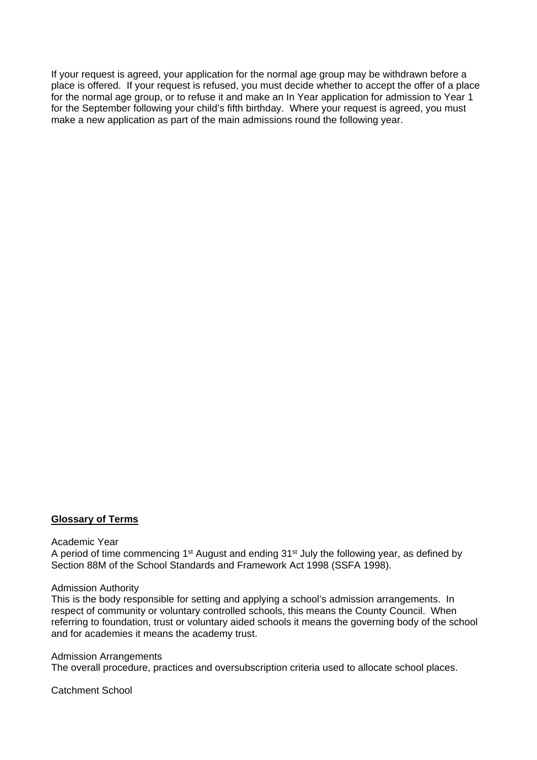If your request is agreed, your application for the normal age group may be withdrawn before a place is offered. If your request is refused, you must decide whether to accept the offer of a place for the normal age group, or to refuse it and make an In Year application for admission to Year 1 for the September following your child's fifth birthday. Where your request is agreed, you must make a new application as part of the main admissions round the following year.

#### **Glossary of Terms**

#### Academic Year

A period of time commencing 1<sup>st</sup> August and ending 31<sup>st</sup> July the following year, as defined by Section 88M of the School Standards and Framework Act 1998 (SSFA 1998).

#### Admission Authority

This is the body responsible for setting and applying a school's admission arrangements. In respect of community or voluntary controlled schools, this means the County Council. When referring to foundation, trust or voluntary aided schools it means the governing body of the school and for academies it means the academy trust.

#### Admission Arrangements

The overall procedure, practices and oversubscription criteria used to allocate school places.

#### Catchment School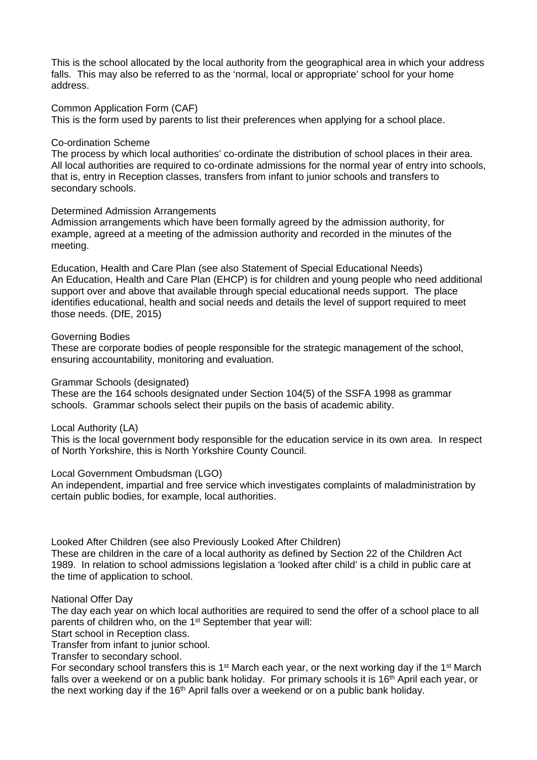This is the school allocated by the local authority from the geographical area in which your address falls. This may also be referred to as the 'normal, local or appropriate' school for your home address.

Common Application Form (CAF)

This is the form used by parents to list their preferences when applying for a school place.

### Co-ordination Scheme

The process by which local authorities' co-ordinate the distribution of school places in their area. All local authorities are required to co-ordinate admissions for the normal year of entry into schools, that is, entry in Reception classes, transfers from infant to junior schools and transfers to secondary schools.

### Determined Admission Arrangements

Admission arrangements which have been formally agreed by the admission authority, for example, agreed at a meeting of the admission authority and recorded in the minutes of the meeting.

Education, Health and Care Plan (see also Statement of Special Educational Needs) An Education, Health and Care Plan (EHCP) is for children and young people who need additional support over and above that available through special educational needs support. The place identifies educational, health and social needs and details the level of support required to meet those needs. (DfE, 2015)

### Governing Bodies

These are corporate bodies of people responsible for the strategic management of the school, ensuring accountability, monitoring and evaluation.

### Grammar Schools (designated)

These are the 164 schools designated under Section 104(5) of the SSFA 1998 as grammar schools. Grammar schools select their pupils on the basis of academic ability.

### Local Authority (LA)

This is the local government body responsible for the education service in its own area. In respect of North Yorkshire, this is North Yorkshire County Council.

### Local Government Ombudsman (LGO)

An independent, impartial and free service which investigates complaints of maladministration by certain public bodies, for example, local authorities.

Looked After Children (see also Previously Looked After Children)

These are children in the care of a local authority as defined by Section 22 of the Children Act 1989. In relation to school admissions legislation a 'looked after child' is a child in public care at the time of application to school.

### National Offer Day

The day each year on which local authorities are required to send the offer of a school place to all parents of children who, on the 1<sup>st</sup> September that year will:

Start school in Reception class.

Transfer from infant to junior school.

Transfer to secondary school.

For secondary school transfers this is 1<sup>st</sup> March each year, or the next working day if the 1<sup>st</sup> March falls over a weekend or on a public bank holiday. For primary schools it is  $16<sup>th</sup>$  April each year, or the next working day if the 16<sup>th</sup> April falls over a weekend or on a public bank holiday.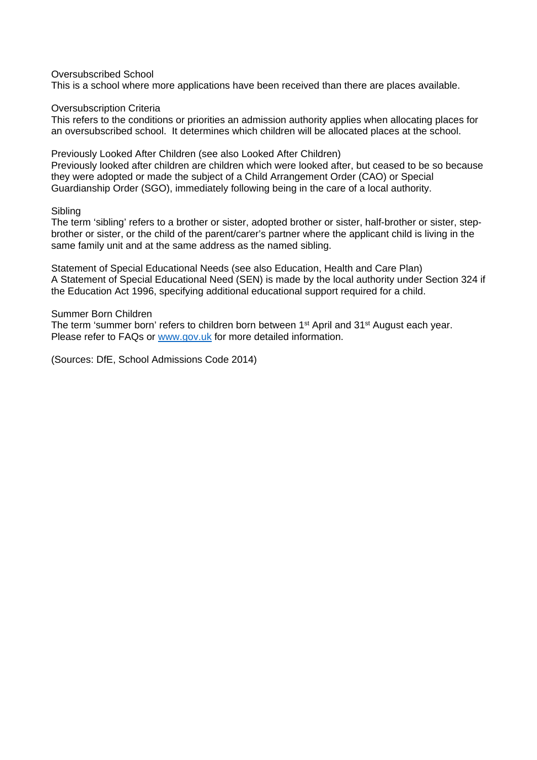### Oversubscribed School

This is a school where more applications have been received than there are places available.

Oversubscription Criteria

This refers to the conditions or priorities an admission authority applies when allocating places for an oversubscribed school. It determines which children will be allocated places at the school.

Previously Looked After Children (see also Looked After Children) Previously looked after children are children which were looked after, but ceased to be so because

they were adopted or made the subject of a Child Arrangement Order (CAO) or Special Guardianship Order (SGO), immediately following being in the care of a local authority.

### **Sibling**

The term 'sibling' refers to a brother or sister, adopted brother or sister, half-brother or sister, stepbrother or sister, or the child of the parent/carer's partner where the applicant child is living in the same family unit and at the same address as the named sibling.

Statement of Special Educational Needs (see also Education, Health and Care Plan) A Statement of Special Educational Need (SEN) is made by the local authority under Section 324 if the Education Act 1996, specifying additional educational support required for a child.

### Summer Born Children

The term 'summer born' refers to children born between 1<sup>st</sup> April and 31<sup>st</sup> August each year. Please refer to FAQs or www.gov.uk for more detailed information.

(Sources: DfE, School Admissions Code 2014)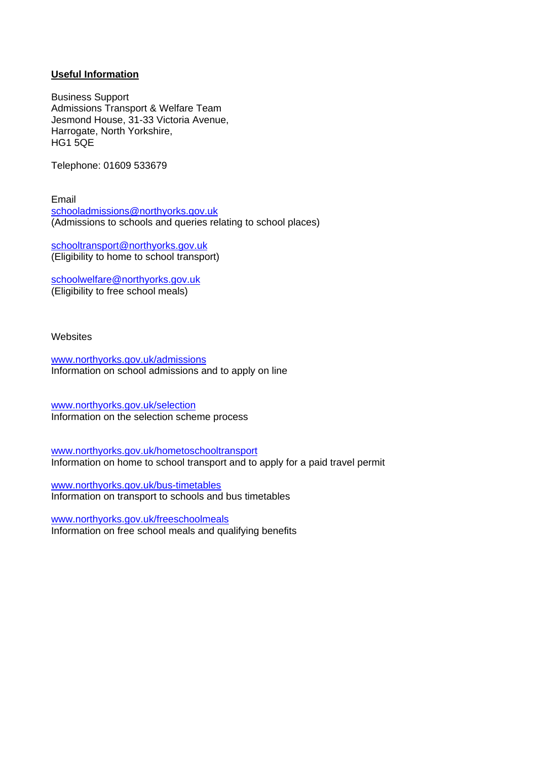### **Useful Information**

Business Support Admissions Transport & Welfare Team Jesmond House, 31-33 Victoria Avenue, Harrogate, North Yorkshire, HG1 5QE

Telephone: 01609 533679

Email schooladmissions@northyorks.gov.uk (Admissions to schools and queries relating to school places)

schooltransport@northyorks.gov.uk (Eligibility to home to school transport)

schoolwelfare@northyorks.gov.uk (Eligibility to free school meals)

**Websites** 

www.northyorks.gov.uk/admissions Information on school admissions and to apply on line

www.northyorks.gov.uk/selection Information on the selection scheme process

www.northyorks.gov.uk/hometoschooltransport Information on home to school transport and to apply for a paid travel permit

www.northyorks.gov.uk/bus-timetables Information on transport to schools and bus timetables

www.northyorks.gov.uk/freeschoolmeals Information on free school meals and qualifying benefits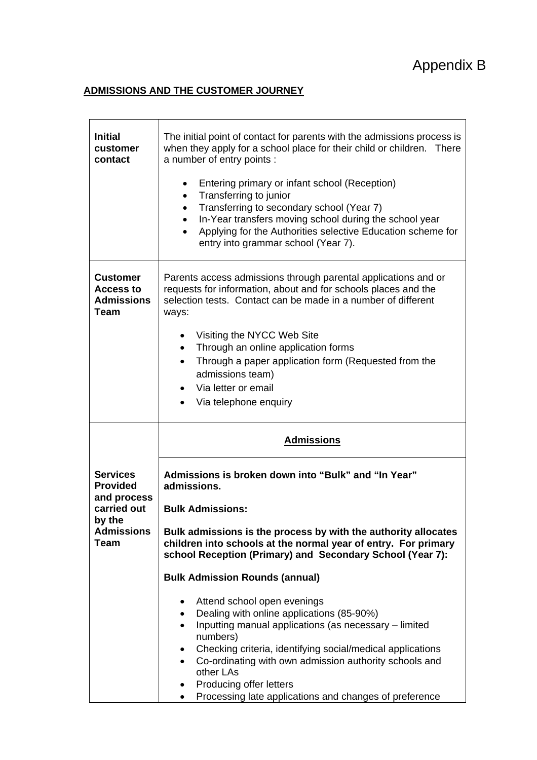# Appendix B

# **ADMISSIONS AND THE CUSTOMER JOURNEY**

| <b>Initial</b><br>customer<br>contact                            | The initial point of contact for parents with the admissions process is<br>when they apply for a school place for their child or children. There<br>a number of entry points :                                                                                                                                                                                                                                                                          |  |  |
|------------------------------------------------------------------|---------------------------------------------------------------------------------------------------------------------------------------------------------------------------------------------------------------------------------------------------------------------------------------------------------------------------------------------------------------------------------------------------------------------------------------------------------|--|--|
|                                                                  | Entering primary or infant school (Reception)<br>Transferring to junior<br>$\bullet$<br>Transferring to secondary school (Year 7)<br>$\bullet$<br>In-Year transfers moving school during the school year<br>$\bullet$<br>Applying for the Authorities selective Education scheme for<br>entry into grammar school (Year 7).                                                                                                                             |  |  |
| <b>Customer</b><br>Access to<br><b>Admissions</b><br><b>Team</b> | Parents access admissions through parental applications and or<br>requests for information, about and for schools places and the<br>selection tests. Contact can be made in a number of different<br>ways:<br>Visiting the NYCC Web Site<br>$\bullet$<br>Through an online application forms<br>$\bullet$<br>Through a paper application form (Requested from the<br>٠<br>admissions team)<br>Via letter or email<br>Via telephone enquiry<br>$\bullet$ |  |  |
|                                                                  |                                                                                                                                                                                                                                                                                                                                                                                                                                                         |  |  |
|                                                                  | <b>Admissions</b>                                                                                                                                                                                                                                                                                                                                                                                                                                       |  |  |
| <b>Services</b><br><b>Provided</b><br>and process<br>carried out | Admissions is broken down into "Bulk" and "In Year"<br>admissions.<br><b>Bulk Admissions:</b>                                                                                                                                                                                                                                                                                                                                                           |  |  |
| by the<br><b>Admissions</b><br>Team                              | Bulk admissions is the process by with the authority allocates<br>children into schools at the normal year of entry. For primary<br>school Reception (Primary) and Secondary School (Year 7):                                                                                                                                                                                                                                                           |  |  |
|                                                                  | <b>Bulk Admission Rounds (annual)</b>                                                                                                                                                                                                                                                                                                                                                                                                                   |  |  |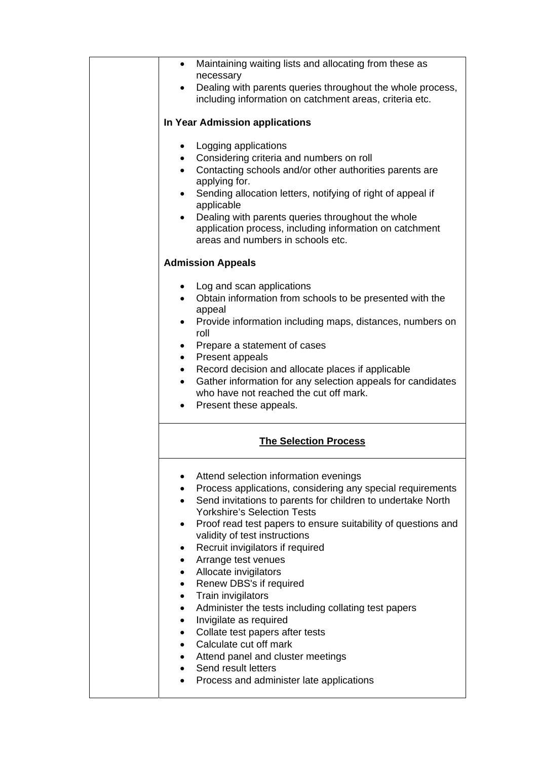| Maintaining waiting lists and allocating from these as<br>$\bullet$<br>necessary                                                                                                                                                                                                                                                                                                                                                                                                                                                                                                                                                                                                                                                                                   |
|--------------------------------------------------------------------------------------------------------------------------------------------------------------------------------------------------------------------------------------------------------------------------------------------------------------------------------------------------------------------------------------------------------------------------------------------------------------------------------------------------------------------------------------------------------------------------------------------------------------------------------------------------------------------------------------------------------------------------------------------------------------------|
| Dealing with parents queries throughout the whole process,<br>including information on catchment areas, criteria etc.                                                                                                                                                                                                                                                                                                                                                                                                                                                                                                                                                                                                                                              |
| In Year Admission applications                                                                                                                                                                                                                                                                                                                                                                                                                                                                                                                                                                                                                                                                                                                                     |
| Logging applications<br>Considering criteria and numbers on roll<br>Contacting schools and/or other authorities parents are<br>$\bullet$<br>applying for.<br>Sending allocation letters, notifying of right of appeal if<br>applicable<br>Dealing with parents queries throughout the whole<br>application process, including information on catchment<br>areas and numbers in schools etc.                                                                                                                                                                                                                                                                                                                                                                        |
| <b>Admission Appeals</b>                                                                                                                                                                                                                                                                                                                                                                                                                                                                                                                                                                                                                                                                                                                                           |
| Log and scan applications<br>Obtain information from schools to be presented with the<br>appeal<br>Provide information including maps, distances, numbers on<br>roll<br>Prepare a statement of cases<br>• Present appeals<br>Record decision and allocate places if applicable<br>$\bullet$<br>Gather information for any selection appeals for candidates<br>who have not reached the cut off mark.<br>Present these appeals.                                                                                                                                                                                                                                                                                                                                     |
| <b>The Selection Process</b>                                                                                                                                                                                                                                                                                                                                                                                                                                                                                                                                                                                                                                                                                                                                       |
| Attend selection information evenings<br>Process applications, considering any special requirements<br>Send invitations to parents for children to undertake North<br>$\bullet$<br><b>Yorkshire's Selection Tests</b><br>Proof read test papers to ensure suitability of questions and<br>validity of test instructions<br>Recruit invigilators if required<br>$\bullet$<br>Arrange test venues<br>$\bullet$<br>Allocate invigilators<br>$\bullet$<br>Renew DBS's if required<br>$\bullet$<br>Train invigilators<br>$\bullet$<br>Administer the tests including collating test papers<br>$\bullet$<br>Invigilate as required<br>$\bullet$<br>Collate test papers after tests<br>Calculate cut off mark<br>Attend panel and cluster meetings<br>Send result letters |
|                                                                                                                                                                                                                                                                                                                                                                                                                                                                                                                                                                                                                                                                                                                                                                    |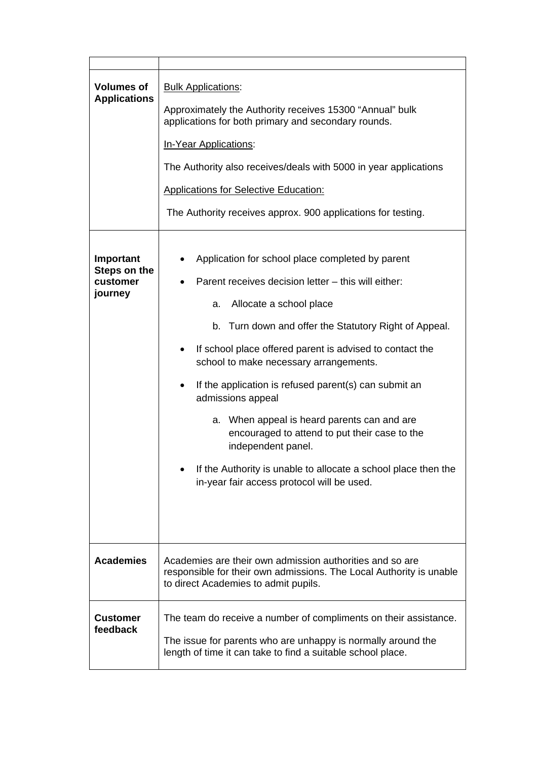| <b>Volumes of</b><br><b>Applications</b>         | <b>Bulk Applications:</b><br>Approximately the Authority receives 15300 "Annual" bulk<br>applications for both primary and secondary rounds.<br>In-Year Applications:<br>The Authority also receives/deals with 5000 in year applications<br><b>Applications for Selective Education:</b><br>The Authority receives approx. 900 applications for testing.                                                                                                                                                                                                                                                                                |  |
|--------------------------------------------------|------------------------------------------------------------------------------------------------------------------------------------------------------------------------------------------------------------------------------------------------------------------------------------------------------------------------------------------------------------------------------------------------------------------------------------------------------------------------------------------------------------------------------------------------------------------------------------------------------------------------------------------|--|
| Important<br>Steps on the<br>customer<br>journey | Application for school place completed by parent<br>Parent receives decision letter - this will either:<br>Allocate a school place<br>a.<br>b. Turn down and offer the Statutory Right of Appeal.<br>If school place offered parent is advised to contact the<br>school to make necessary arrangements.<br>If the application is refused parent(s) can submit an<br>$\bullet$<br>admissions appeal<br>a. When appeal is heard parents can and are<br>encouraged to attend to put their case to the<br>independent panel.<br>If the Authority is unable to allocate a school place then the<br>in-year fair access protocol will be used. |  |
| <b>Academies</b>                                 | Academies are their own admission authorities and so are<br>responsible for their own admissions. The Local Authority is unable<br>to direct Academies to admit pupils.                                                                                                                                                                                                                                                                                                                                                                                                                                                                  |  |
| <b>Customer</b><br>feedback                      | The team do receive a number of compliments on their assistance.<br>The issue for parents who are unhappy is normally around the<br>length of time it can take to find a suitable school place.                                                                                                                                                                                                                                                                                                                                                                                                                                          |  |